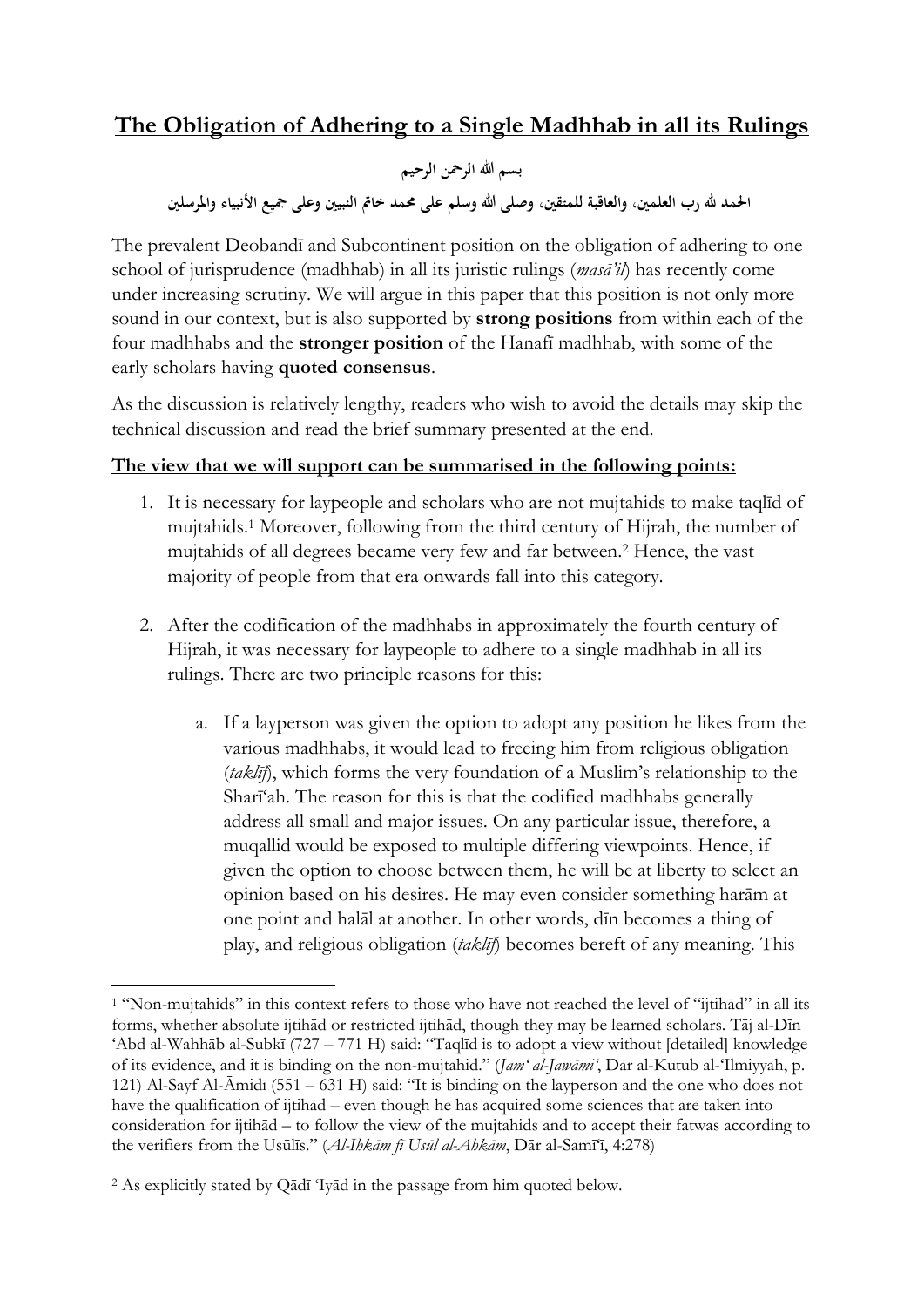# **The Obligation of Adhering to a Single Madhhab in all its Rulings**

بسم الله الرحمن الرحيم **احلمد هلل رب العلمني، والعاقبة للمتقني، وصلى هللا وسلم على حممد خامت النبيني وعلى مجيع األنبياء واملرسلني**

The prevalent Deobandī and Subcontinent position on the obligation of adhering to one school of jurisprudence (madhhab) in all its juristic rulings (*masā'il*) has recently come under increasing scrutiny. We will argue in this paper that this position is not only more sound in our context, but is also supported by **strong positions** from within each of the four madhhabs and the **stronger position** of the Hanafī madhhab, with some of the early scholars having **quoted consensus**.

As the discussion is relatively lengthy, readers who wish to avoid the details may skip the technical discussion and read the brief summary presented at the end.

# **The view that we will support can be summarised in the following points:**

- 1. It is necessary for laypeople and scholars who are not mujtahids to make taqlīd of mujtahids.<sup>1</sup> Moreover, following from the third century of Hijrah, the number of mujtahids of all degrees became very few and far between. <sup>2</sup> Hence, the vast majority of people from that era onwards fall into this category.
- 2. After the codification of the madhhabs in approximately the fourth century of Hijrah, it was necessary for laypeople to adhere to a single madhhab in all its rulings. There are two principle reasons for this:
	- a. If a layperson was given the option to adopt any position he likes from the various madhhabs, it would lead to freeing him from religious obligation (*taklīf*), which forms the very foundation of a Muslim's relationship to the Sharī'ah. The reason for this is that the codified madhhabs generally address all small and major issues. On any particular issue, therefore, a muqallid would be exposed to multiple differing viewpoints. Hence, if given the option to choose between them, he will be at liberty to select an opinion based on his desires. He may even consider something harām at one point and halāl at another. In other words, dīn becomes a thing of play, and religious obligation (*taklīf*) becomes bereft of any meaning. This

1

<sup>1</sup> "Non-mujtahids" in this context refers to those who have not reached the level of "ijtihād" in all its forms, whether absolute ijtihād or restricted ijtihād, though they may be learned scholars. Tāj al-Dīn 'Abd al-Wahhāb al-Subkī (727 – 771 H) said: "Taqlīd is to adopt a view without [detailed] knowledge of its evidence, and it is binding on the non-mujtahid." (*Jam' al-Jawāmi'*, Dār al-Kutub al-'Ilmiyyah, p. 121) Al-Sayf Al-Āmidī (551 – 631 H) said: "It is binding on the layperson and the one who does not have the qualification of ijtihād – even though he has acquired some sciences that are taken into consideration for ijtihād – to follow the view of the mujtahids and to accept their fatwas according to the verifiers from the Usūlīs." (*Al-Ihkām fī Usūl al-Ahkām*, Dār al-Samī'ī, 4:278)

<sup>2</sup> As explicitly stated by Qādī 'Iyād in the passage from him quoted below.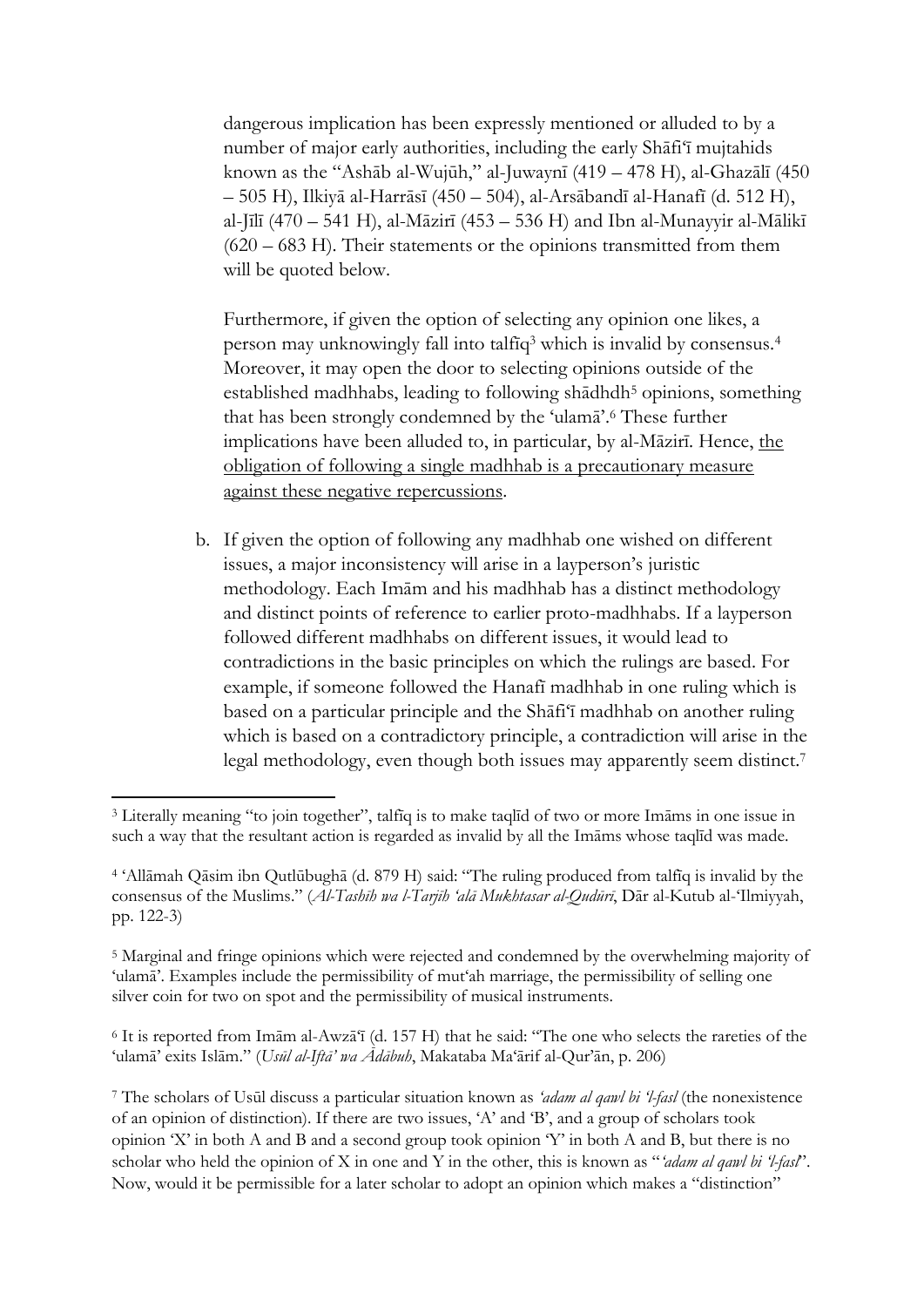dangerous implication has been expressly mentioned or alluded to by a number of major early authorities, including the early Shāfi'ī mujtahids known as the "Ashāb al-Wujūh," al-Juwaynī (419 – 478 H), al-Ghazālī (450 – 505 H), Ilkiyā al-Harrāsī (450 – 504), al-Arsābandī al-Hanafī (d. 512 H), al-Jīlī (470 – 541 H), al-Māzirī (453 – 536 H) and Ibn al-Munayyir al-Mālikī (620 – 683 H). Their statements or the opinions transmitted from them will be quoted below.

Furthermore, if given the option of selecting any opinion one likes, a person may unknowingly fall into talfīq<sup>3</sup> which is invalid by consensus.<sup>4</sup> Moreover, it may open the door to selecting opinions outside of the established madhhabs, leading to following shādhdh<sup>5</sup> opinions, something that has been strongly condemned by the 'ulamā'. <sup>6</sup> These further implications have been alluded to, in particular, by al-Māzirī. Hence, the obligation of following a single madhhab is a precautionary measure against these negative repercussions.

b. If given the option of following any madhhab one wished on different issues, a major inconsistency will arise in a layperson's juristic methodology. Each Imām and his madhhab has a distinct methodology and distinct points of reference to earlier proto-madhhabs. If a layperson followed different madhhabs on different issues, it would lead to contradictions in the basic principles on which the rulings are based. For example, if someone followed the Hanafī madhhab in one ruling which is based on a particular principle and the Shāfi'ī madhhab on another ruling which is based on a contradictory principle, a contradiction will arise in the legal methodology, even though both issues may apparently seem distinct. 7

<sup>6</sup> It is reported from Imām al-Awzā'ī (d. 157 H) that he said: "The one who selects the rareties of the 'ulamā' exits Islām." (*Usūl al-Iftā' wa Ādābuh*, Makataba Ma'ārif al-Qur'ān, p. 206)

**<sup>.</sup>** <sup>3</sup> Literally meaning "to join together", talfīq is to make taqlīd of two or more Imāms in one issue in such a way that the resultant action is regarded as invalid by all the Imāms whose taqlīd was made.

<sup>4</sup> 'Allāmah Qāsim ibn Qutlūbughā (d. 879 H) said: "The ruling produced from talfīq is invalid by the consensus of the Muslims." (*Al-Tashīh wa l-Tarjīh 'alā Mukhtasar al-Qudūrī*, Dār al-Kutub al-'Ilmiyyah, pp. 122-3)

<sup>5</sup> Marginal and fringe opinions which were rejected and condemned by the overwhelming majority of 'ulamā'. Examples include the permissibility of mut'ah marriage, the permissibility of selling one silver coin for two on spot and the permissibility of musical instruments.

<sup>7</sup> The scholars of Usūl discuss a particular situation known as *'adam al qawl bi 'l-fasl* (the nonexistence of an opinion of distinction). If there are two issues, 'A' and 'B', and a group of scholars took opinion 'X' in both A and B and a second group took opinion 'Y' in both A and B, but there is no scholar who held the opinion of X in one and Y in the other, this is known as "*'adam al qawl bi 'l-fasl*". Now, would it be permissible for a later scholar to adopt an opinion which makes a "distinction"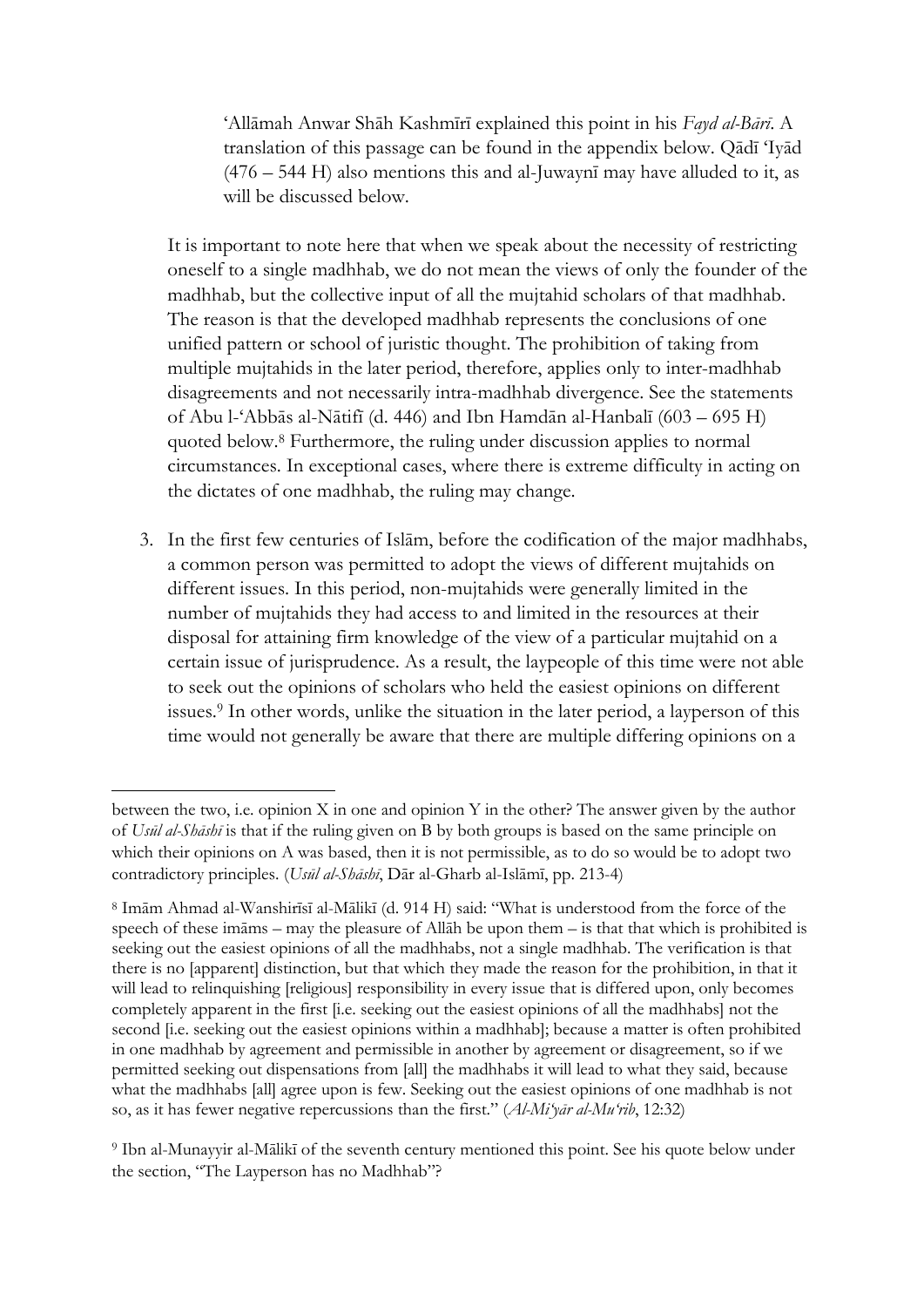'Allāmah Anwar Shāh Kashmīrī explained this point in his *Fayd al-Bārī*. A translation of this passage can be found in the appendix below. Qādī 'Iyād (476 – 544 H) also mentions this and al-Juwaynī may have alluded to it, as will be discussed below.

It is important to note here that when we speak about the necessity of restricting oneself to a single madhhab, we do not mean the views of only the founder of the madhhab, but the collective input of all the mujtahid scholars of that madhhab. The reason is that the developed madhhab represents the conclusions of one unified pattern or school of juristic thought. The prohibition of taking from multiple mujtahids in the later period, therefore, applies only to inter-madhhab disagreements and not necessarily intra-madhhab divergence. See the statements of Abu l-'Abbās al-Nātifī (d. 446) and Ibn Hamdān al-Hanbalī (603 – 695 H) quoted below.<sup>8</sup> Furthermore, the ruling under discussion applies to normal circumstances. In exceptional cases, where there is extreme difficulty in acting on the dictates of one madhhab, the ruling may change.

3. In the first few centuries of Islām, before the codification of the major madhhabs, a common person was permitted to adopt the views of different mujtahids on different issues. In this period, non-mujtahids were generally limited in the number of mujtahids they had access to and limited in the resources at their disposal for attaining firm knowledge of the view of a particular mujtahid on a certain issue of jurisprudence. As a result, the laypeople of this time were not able to seek out the opinions of scholars who held the easiest opinions on different issues. <sup>9</sup> In other words, unlike the situation in the later period, a layperson of this time would not generally be aware that there are multiple differing opinions on a

between the two, i.e. opinion X in one and opinion Y in the other? The answer given by the author of *Usūl al-Shāshī* is that if the ruling given on B by both groups is based on the same principle on which their opinions on A was based, then it is not permissible, as to do so would be to adopt two contradictory principles. (*Usūl al-Shāshī*, Dār al-Gharb al-Islāmī, pp. 213-4)

<sup>8</sup> Imām Ahmad al-Wanshirīsī al-Mālikī (d. 914 H) said: "What is understood from the force of the speech of these imāms – may the pleasure of Allāh be upon them – is that that which is prohibited is seeking out the easiest opinions of all the madhhabs, not a single madhhab. The verification is that there is no [apparent] distinction, but that which they made the reason for the prohibition, in that it will lead to relinquishing [religious] responsibility in every issue that is differed upon, only becomes completely apparent in the first [i.e. seeking out the easiest opinions of all the madhhabs] not the second [i.e. seeking out the easiest opinions within a madhhab]; because a matter is often prohibited in one madhhab by agreement and permissible in another by agreement or disagreement, so if we permitted seeking out dispensations from [all] the madhhabs it will lead to what they said, because what the madhhabs [all] agree upon is few. Seeking out the easiest opinions of one madhhab is not so, as it has fewer negative repercussions than the first." (*Al-Mi'yār al-Mu'rib*, 12:32)

<sup>9</sup> Ibn al-Munayyir al-Mālikī of the seventh century mentioned this point. See his quote below under the section, "The Layperson has no Madhhab"?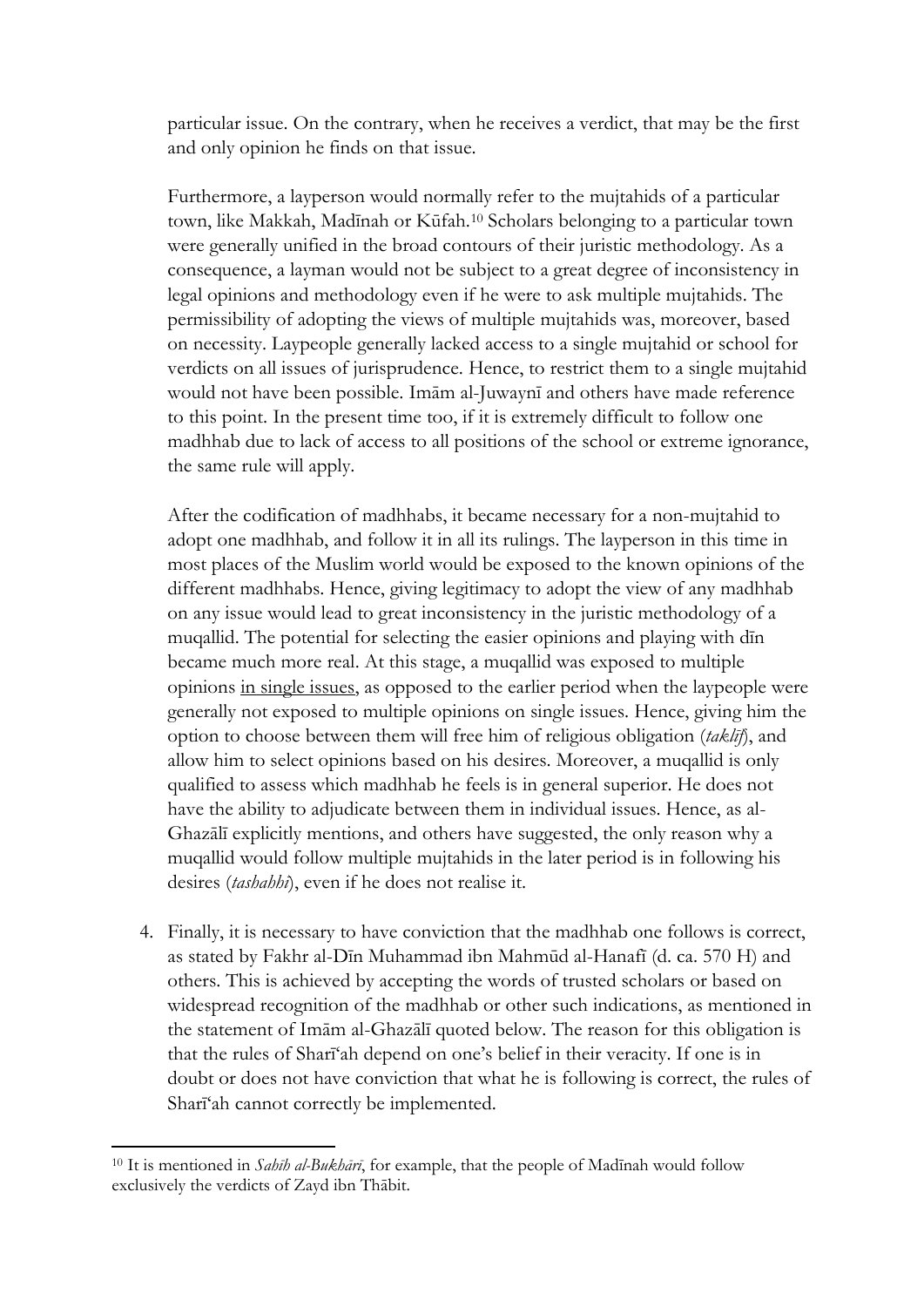particular issue. On the contrary, when he receives a verdict, that may be the first and only opinion he finds on that issue.

Furthermore, a layperson would normally refer to the mujtahids of a particular town, like Makkah, Madīnah or Kūfah.<sup>10</sup> Scholars belonging to a particular town were generally unified in the broad contours of their juristic methodology. As a consequence, a layman would not be subject to a great degree of inconsistency in legal opinions and methodology even if he were to ask multiple mujtahids. The permissibility of adopting the views of multiple mujtahids was, moreover, based on necessity. Laypeople generally lacked access to a single mujtahid or school for verdicts on all issues of jurisprudence. Hence, to restrict them to a single mujtahid would not have been possible. Imām al-Juwaynī and others have made reference to this point. In the present time too, if it is extremely difficult to follow one madhhab due to lack of access to all positions of the school or extreme ignorance, the same rule will apply.

After the codification of madhhabs, it became necessary for a non-mujtahid to adopt one madhhab, and follow it in all its rulings. The layperson in this time in most places of the Muslim world would be exposed to the known opinions of the different madhhabs. Hence, giving legitimacy to adopt the view of any madhhab on any issue would lead to great inconsistency in the juristic methodology of a muqallid. The potential for selecting the easier opinions and playing with dīn became much more real. At this stage, a muqallid was exposed to multiple opinions in single issues, as opposed to the earlier period when the laypeople were generally not exposed to multiple opinions on single issues. Hence, giving him the option to choose between them will free him of religious obligation (*taklīf*), and allow him to select opinions based on his desires. Moreover, a muqallid is only qualified to assess which madhhab he feels is in general superior. He does not have the ability to adjudicate between them in individual issues. Hence, as al-Ghazālī explicitly mentions, and others have suggested, the only reason why a muqallid would follow multiple mujtahids in the later period is in following his desires (*tashahhī*), even if he does not realise it.

4. Finally, it is necessary to have conviction that the madhhab one follows is correct, as stated by Fakhr al-Dīn Muhammad ibn Mahmūd al-Hanafī (d. ca. 570 H) and others. This is achieved by accepting the words of trusted scholars or based on widespread recognition of the madhhab or other such indications, as mentioned in the statement of Imām al-Ghazālī quoted below. The reason for this obligation is that the rules of Sharī'ah depend on one's belief in their veracity. If one is in doubt or does not have conviction that what he is following is correct, the rules of Sharī'ah cannot correctly be implemented.

1

<sup>10</sup> It is mentioned in *Sahīh al-Bukhārī*, for example, that the people of Madīnah would follow exclusively the verdicts of Zayd ibn Thābit.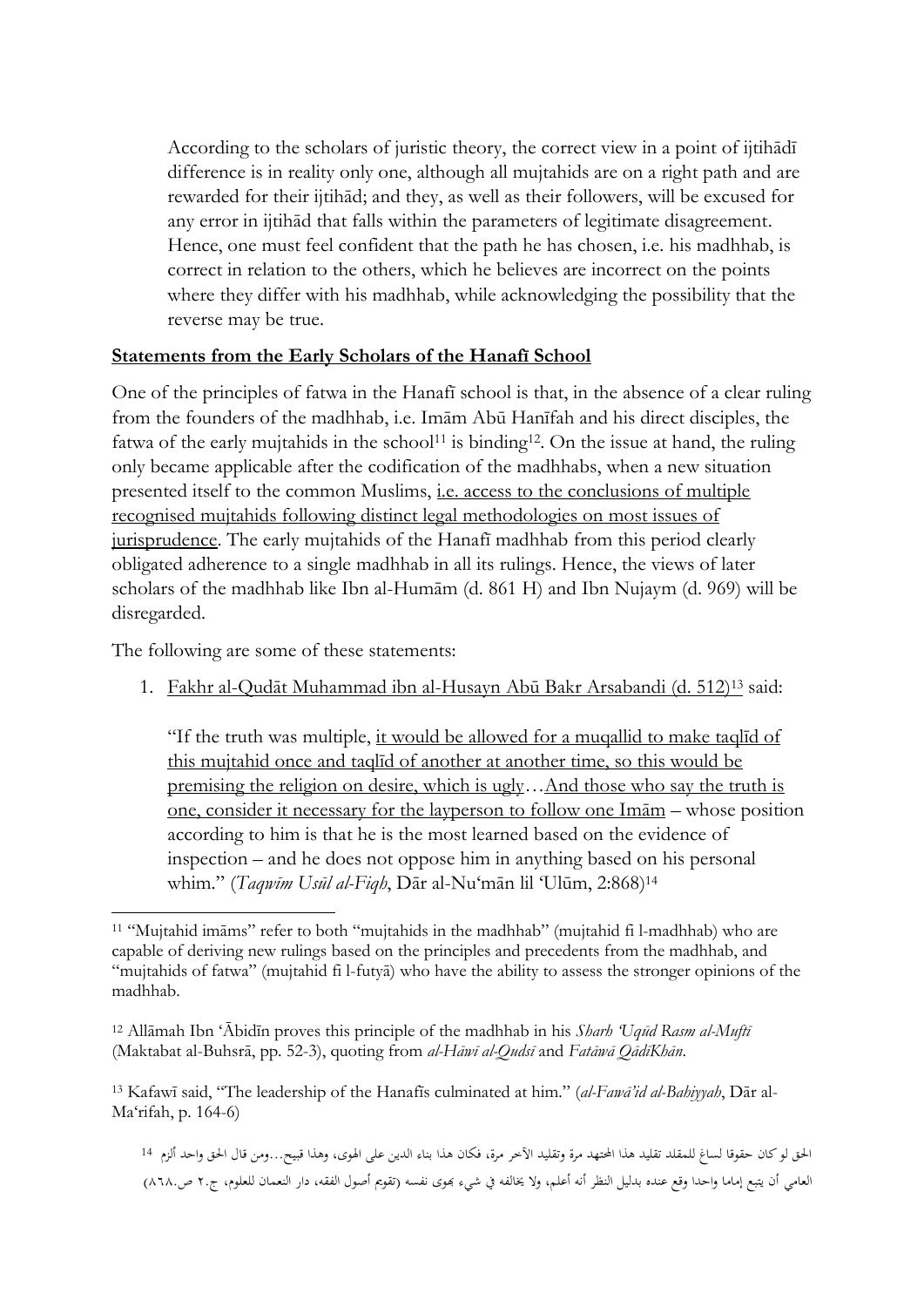According to the scholars of juristic theory, the correct view in a point of ijtihādī difference is in reality only one, although all mujtahids are on a right path and are rewarded for their ijtihād; and they, as well as their followers, will be excused for any error in ijtihād that falls within the parameters of legitimate disagreement. Hence, one must feel confident that the path he has chosen, i.e. his madhhab, is correct in relation to the others, which he believes are incorrect on the points where they differ with his madhhab, while acknowledging the possibility that the reverse may be true.

# **Statements from the Early Scholars of the Hanafī School**

One of the principles of fatwa in the Hanafī school is that, in the absence of a clear ruling from the founders of the madhhab, i.e. Imām Abū Hanīfah and his direct disciples, the fatwa of the early mujtahids in the school<sup>11</sup> is binding<sup>12</sup>. On the issue at hand, the ruling only became applicable after the codification of the madhhabs, when a new situation presented itself to the common Muslims, i.e. access to the conclusions of multiple recognised mujtahids following distinct legal methodologies on most issues of jurisprudence. The early mujtahids of the Hanafī madhhab from this period clearly obligated adherence to a single madhhab in all its rulings. Hence, the views of later scholars of the madhhab like Ibn al-Humām (d. 861 H) and Ibn Nujaym (d. 969) will be disregarded.

The following are some of these statements:

1. Fakhr al-Qudāt Muhammad ibn al-Husayn Abū Bakr Arsabandi (d. 512)<sup>13</sup> said:

"If the truth was multiple, it would be allowed for a muqallid to make taqlīd of this mujtahid once and taqlīd of another at another time, so this would be premising the religion on desire, which is ugly…And those who say the truth is one, consider it necessary for the layperson to follow one Imām – whose position according to him is that he is the most learned based on the evidence of inspection – and he does not oppose him in anything based on his personal whim." (*Taqwīm Usūl al-Fiqh*, Dār al-Nu'mān lil 'Ulūm, 2:868) 14

<sup>13</sup> Kafawī said, "The leadership of the Hanafīs culminated at him." (*al-Fawā'id al-Bahiyyah*, Dār al-Ma'rifah, p. 164-6)

احلق لو كان حقوقا لساغ للمقلد تقليد هذا احملتهد مرة وتقليد اآلخر مرة، فكان هذا بناء الدين على اهلوى، وهذا قبيح...ومن قال احلق واحد ألزم <sup>14</sup> العامي أن يتبع إماما واحدا وقع عنده بدليل النظر أنه أعلم، ولا يخالفه في شيءٍ بهوى نفسه (تقويم أصول الفقه، دار النعمان للعلوم، ج٢. ص٨٦٨.)

**<sup>.</sup>** <sup>11</sup> "Mujtahid imāms" refer to both "mujtahids in the madhhab" (mujtahid fi l-madhhab) who are capable of deriving new rulings based on the principles and precedents from the madhhab, and "mujtahids of fatwa" (mujtahid fi l-futyā) who have the ability to assess the stronger opinions of the madhhab.

<sup>12</sup> Allāmah Ibn 'Ābidīn proves this principle of the madhhab in his *Sharh 'Uqūd Rasm al-Muftī* (Maktabat al-Buhsrā, pp. 52-3), quoting from *al-Hāwī al-Qudsī* and *Fatāwā QādīKhān*.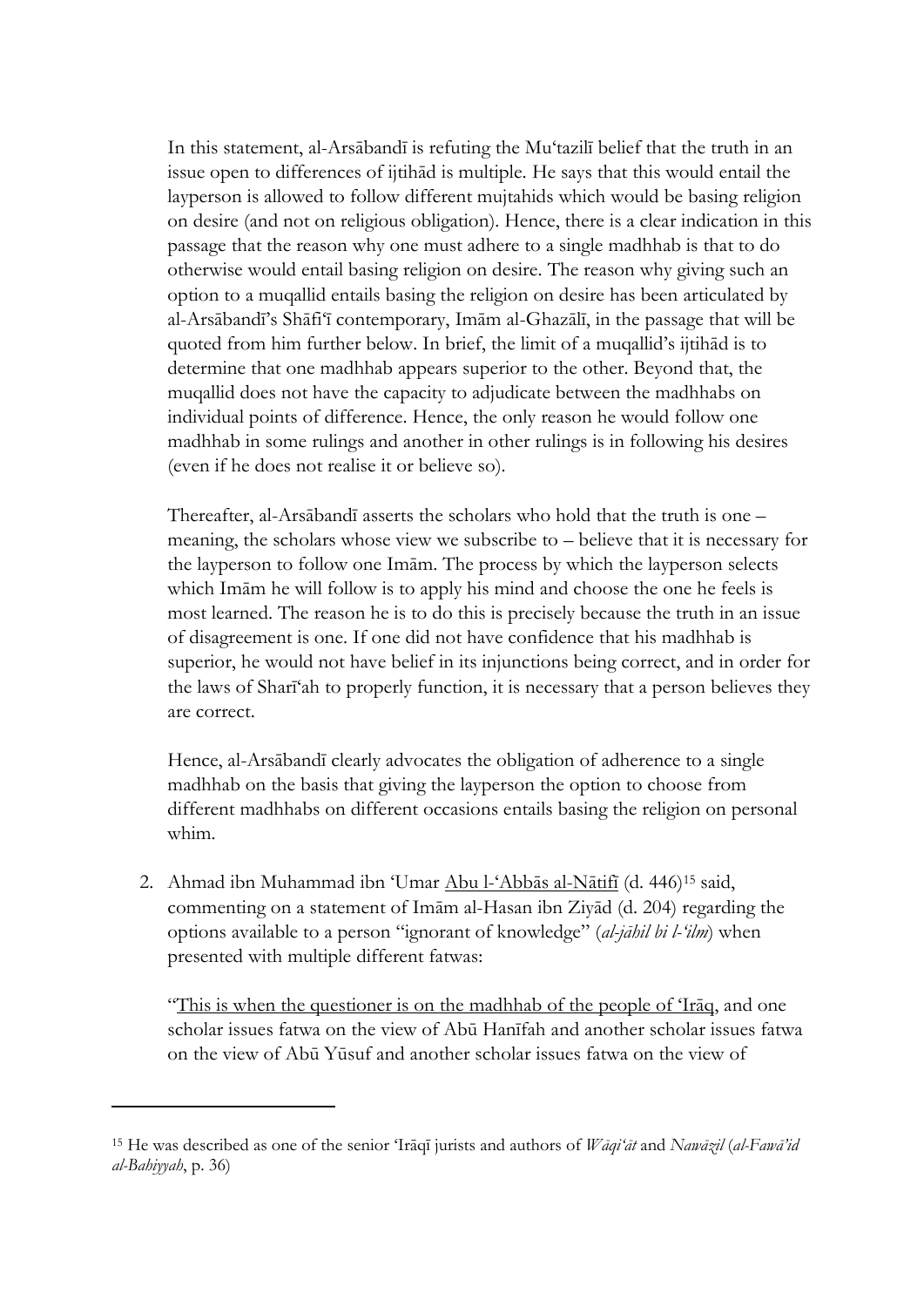In this statement, al-Arsābandī is refuting the Mu'tazilī belief that the truth in an issue open to differences of ijtihād is multiple. He says that this would entail the layperson is allowed to follow different mujtahids which would be basing religion on desire (and not on religious obligation). Hence, there is a clear indication in this passage that the reason why one must adhere to a single madhhab is that to do otherwise would entail basing religion on desire. The reason why giving such an option to a muqallid entails basing the religion on desire has been articulated by al-Arsābandī's Shāfi'ī contemporary, Imām al-Ghazālī, in the passage that will be quoted from him further below. In brief, the limit of a muqallid's ijtihād is to determine that one madhhab appears superior to the other. Beyond that, the muqallid does not have the capacity to adjudicate between the madhhabs on individual points of difference. Hence, the only reason he would follow one madhhab in some rulings and another in other rulings is in following his desires (even if he does not realise it or believe so).

Thereafter, al-Arsābandī asserts the scholars who hold that the truth is one – meaning, the scholars whose view we subscribe to – believe that it is necessary for the layperson to follow one Imām. The process by which the layperson selects which Imām he will follow is to apply his mind and choose the one he feels is most learned. The reason he is to do this is precisely because the truth in an issue of disagreement is one. If one did not have confidence that his madhhab is superior, he would not have belief in its injunctions being correct, and in order for the laws of Sharī'ah to properly function, it is necessary that a person believes they are correct.

Hence, al-Arsābandī clearly advocates the obligation of adherence to a single madhhab on the basis that giving the layperson the option to choose from different madhhabs on different occasions entails basing the religion on personal whim.

2. Ahmad ibn Muhammad ibn 'Umar Abu l-'Abbās al-Nātifī (d. 446)<sup>15</sup> said, commenting on a statement of Imām al-Hasan ibn Ziyād (d. 204) regarding the options available to a person "ignorant of knowledge" (*al-jāhil bi l-'ilm*) when presented with multiple different fatwas:

"This is when the questioner is on the madhhab of the people of 'Iraq, and one scholar issues fatwa on the view of Abū Hanīfah and another scholar issues fatwa on the view of Abū Yūsuf and another scholar issues fatwa on the view of

1

<sup>15</sup> He was described as one of the senior 'Irāqī jurists and authors of *Wāqi'āt* and *Nawāzil* (*al-Fawā'id al-Bahiyyah*, p. 36)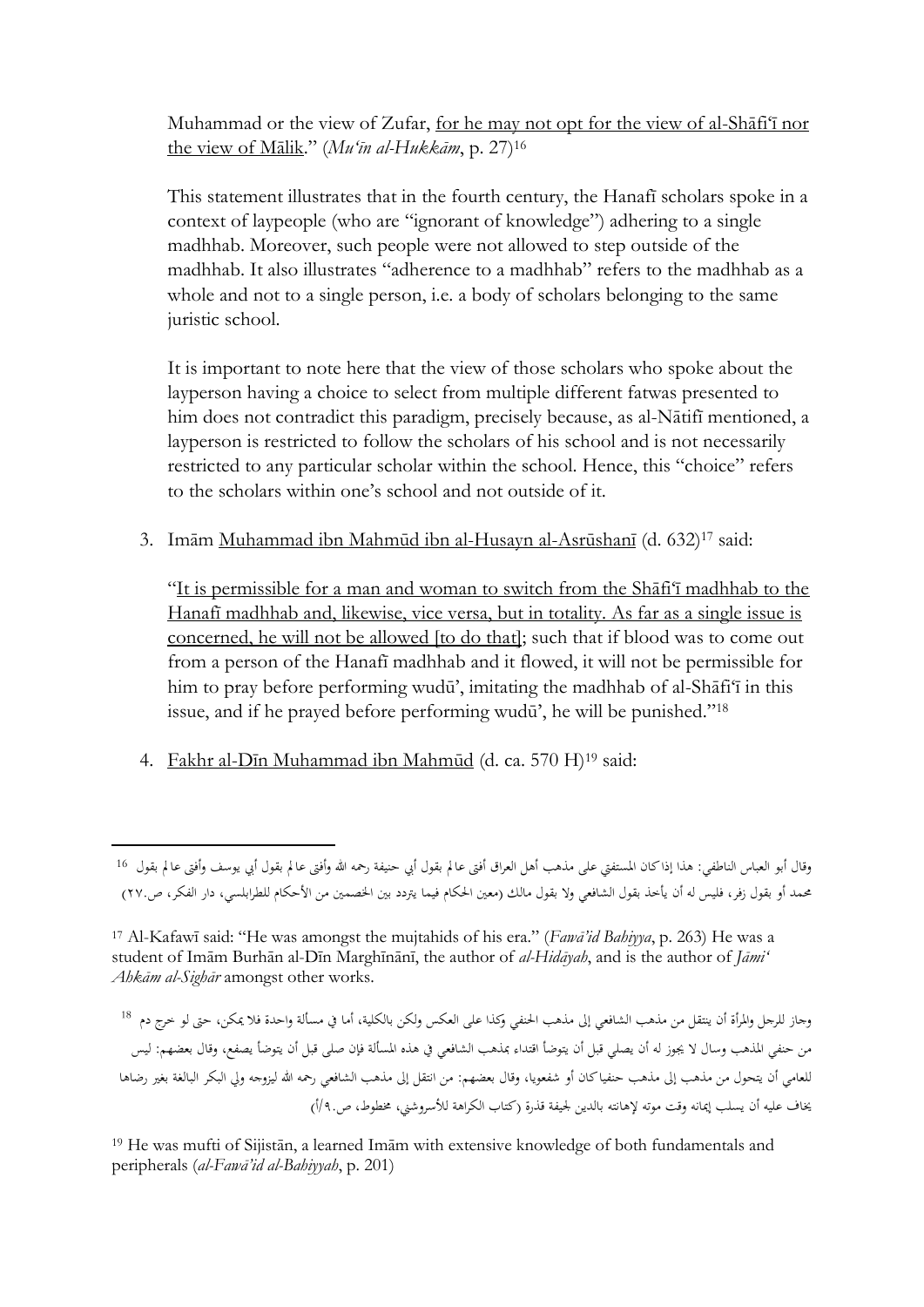Muhammad or the view of Zufar, for he may not opt for the view of al-Shāfi'ī nor the view of Mālik." (*Mu'īn al-Hukkām*, p. 27)<sup>16</sup>

This statement illustrates that in the fourth century, the Hanafī scholars spoke in a context of laypeople (who are "ignorant of knowledge") adhering to a single madhhab. Moreover, such people were not allowed to step outside of the madhhab. It also illustrates "adherence to a madhhab" refers to the madhhab as a whole and not to a single person, i.e. a body of scholars belonging to the same juristic school.

It is important to note here that the view of those scholars who spoke about the layperson having a choice to select from multiple different fatwas presented to him does not contradict this paradigm, precisely because, as al-Nātifī mentioned, a layperson is restricted to follow the scholars of his school and is not necessarily restricted to any particular scholar within the school. Hence, this "choice" refers to the scholars within one's school and not outside of it.

3. Imām Muhammad ibn Mahmūd ibn al-Husayn al-Asrūshanī (d. 632)<sup>17</sup> said:

"It is permissible for a man and woman to switch from the Shāfi'ī madhhab to the Hanafī madhhab and, likewise, vice versa, but in totality. As far as a single issue is concerned, he will not be allowed [to do that]; such that if blood was to come out from a person of the Hanafī madhhab and it flowed, it will not be permissible for him to pray before performing wudū', imitating the madhhab of al-Shāfi'ī in this issue, and if he prayed before performing wudū', he will be punished."<sup>18</sup>

4. Fakhr al-Dīn Muhammad ibn Mahmūd (d. ca. 570 H)<sup>19</sup> said:

1

<sup>19</sup> He was mufti of Sijistān, a learned Imām with extensive knowledge of both fundamentals and peripherals (*al-Fawā'id al-Bahiyyah*, p. 201)

وقال أبو العباس الناطفي: هذا إذا كان المستفتى على مذهب أهل العراق أفتى عالم بقول أبي حنيفة رحمه الله وأفتى عا م بقول أبي يوسف وأفتى عالم بقول 16 حمد أو بقول زفر، فليس له أن يأخذ بقول الشافعي ولا بقول مالك (معين الحكام فيما يتردد بين الخصمين من الأحكام للطرابلسي، دار الفكر، ص٢٢٠.)

<sup>17</sup> Al-Kafawī said: "He was amongst the mujtahids of his era." (*Fawā'id Bahiyya*, p. 263) He was a student of Imām Burhān al-Dīn Marghīnānī, the author of *al-Hidāyah*, and is the author of *Jāmi' Ahkām al-Sighār* amongst other works.

وجاز للرجل واملرأة أن ينتقل من مذهب الشافعي إىل مذهب احلنفي وكذا على العكس ولكن بالكلية، أما يف مسألة واحدة فال ميكن، حىت لو خرج دم <sup>18</sup> من حنفي المذهب وسال لا يجوز له أن يصلي قبل أن يتوضأ اقتداء بمذهب الشافعي في هذه المسألة فإن صلى قبل أن يتوضأ يصفع، وقال بعضهم: ليس للعامي أن يتحول من مذهب إىل مذهب حنفيا كان أو شفعويا، وقال بعضهم: من انتقل إىل مذهب الشافعي رمحه هللا ليزوجه ويل البكر البالغة بغري رضاها يخاف عليه أن يسلب إيمانه وقت موته لإهانته بالدين لجيفة قذرة (كتاب الكراهة للأسروشني، مخطوط، ص٩١.أ)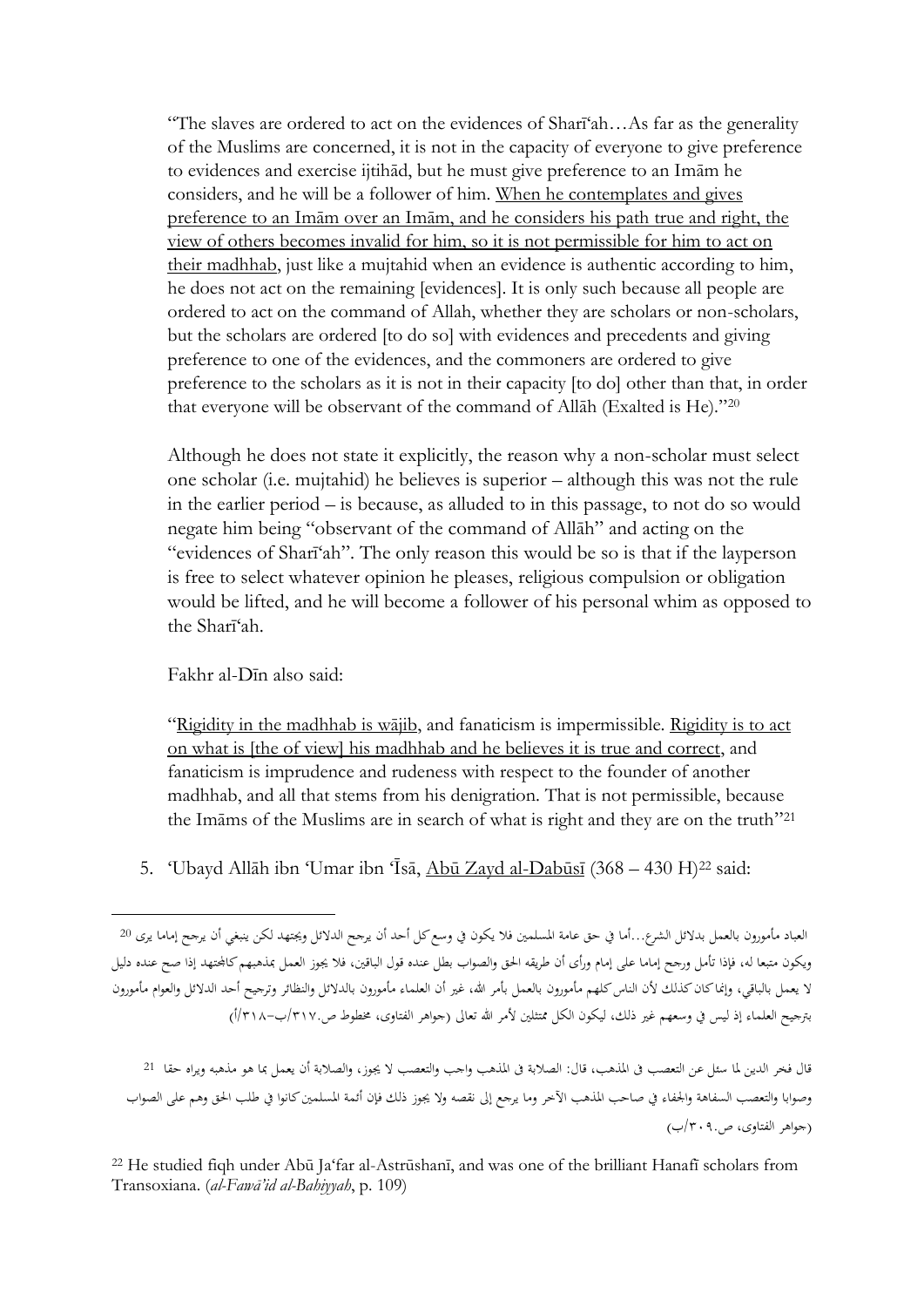"The slaves are ordered to act on the evidences of Sharī'ah…As far as the generality of the Muslims are concerned, it is not in the capacity of everyone to give preference to evidences and exercise ijtihād, but he must give preference to an Imām he considers, and he will be a follower of him. When he contemplates and gives preference to an Imām over an Imām, and he considers his path true and right, the view of others becomes invalid for him, so it is not permissible for him to act on their madhhab, just like a mujtahid when an evidence is authentic according to him, he does not act on the remaining [evidences]. It is only such because all people are ordered to act on the command of Allah, whether they are scholars or non-scholars. but the scholars are ordered [to do so] with evidences and precedents and giving preference to one of the evidences, and the commoners are ordered to give preference to the scholars as it is not in their capacity [to do] other than that, in order that everyone will be observant of the command of Allāh (Exalted is He)."<sup>20</sup>

Although he does not state it explicitly, the reason why a non-scholar must select one scholar (i.e. mujtahid) he believes is superior – although this was not the rule in the earlier period – is because, as alluded to in this passage, to not do so would negate him being "observant of the command of Allāh" and acting on the "evidences of Sharī'ah". The only reason this would be so is that if the layperson is free to select whatever opinion he pleases, religious compulsion or obligation would be lifted, and he will become a follower of his personal whim as opposed to the Sharī'ah.

Fakhr al-Dīn also said:

1

"Rigidity in the madhhab is wājib, and fanaticism is impermissible. Rigidity is to act on what is [the of view] his madhhab and he believes it is true and correct, and fanaticism is imprudence and rudeness with respect to the founder of another madhhab, and all that stems from his denigration. That is not permissible, because the Imāms of the Muslims are in search of what is right and they are on the truth" 21

5. 'Ubayd Allāh ibn 'Umar ibn 'Īsā, Abū Zayd al-Dabūsī (368 – 430 H)<sup>22</sup> said:

العباد مأمورون بالعمل بدالئل الشرع...أما يف حق عامة املسلمني فال يكون يف وسع كل أحد أن يرجح الدالئل وجيتهد لكن ينبغي أن يرجح إماما يرى <sup>20</sup> ويكون متبعا له، فإذا تأمل ورجح إماما على إمام ورأى أن طريقه احلق والصواب بطل عنده قول الباقني، فال جيوز العمل مبذهبهم كاجملتهد إذا صح عنده دليل لا يعمل بالباقي، وإنما كان كذلك لأن الناس كلهم مأمورون بالعمل بأمر الله، غير أن العلماء مأمورون بالدلائل والنظائر وترجيح أحد الدلائل والعوام مأمورون بترجيح العلماء إذ ليس في وسعهم غير ذلك، ليكون الكل ممتثلين لأمر الله تعالى (جواهر الفتاوى، مخطوط ص/٧١٧.ب–١/٣١٨.

قال فخر الدين لما سئل عن التعصب في المذهب، قال: الصلابة في المذهب واجب والتعصب لا يجوز، والصلابة أن يعمل بما هو مذهبه ويراه حقا 21 وصوابا والتعصب السفاهة والجفاء في صاحب المذهب الآخر وما يرجع إلى نقصه ولا يجوز ذلك فإن أئمة المسلمين كانوا في طلب الحق وهم على الصواب )جواهر الفتاوى، ص/٧٠٩.ب(

<sup>22</sup> He studied fiqh under Abū Ja'far al-Astrūshanī, and was one of the brilliant Hanafī scholars from Transoxiana. (*al-Fawā'id al-Bahiyyah*, p. 109)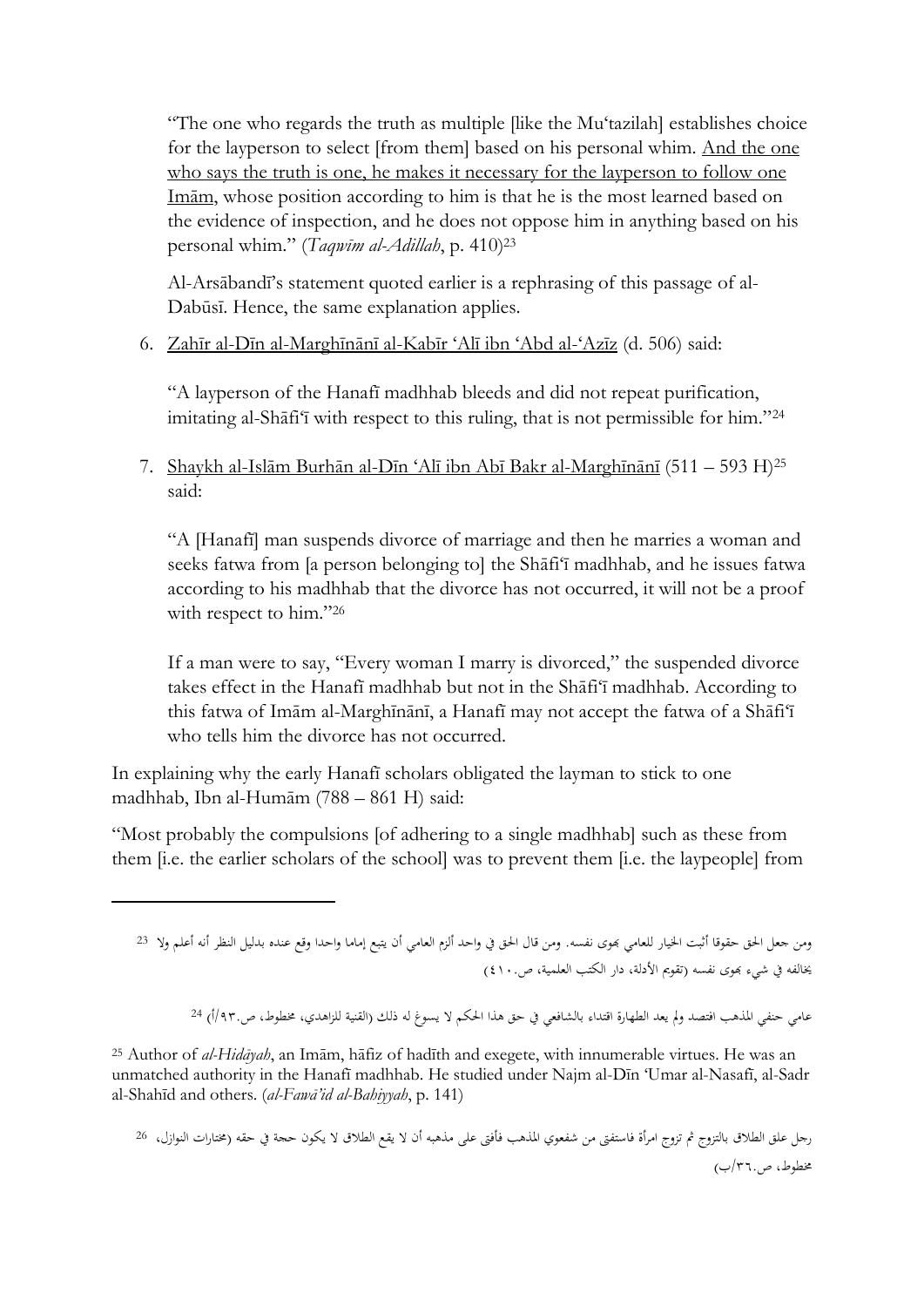"The one who regards the truth as multiple [like the Mu'tazilah] establishes choice for the layperson to select [from them] based on his personal whim. And the one who says the truth is one, he makes it necessary for the layperson to follow one Imām, whose position according to him is that he is the most learned based on the evidence of inspection, and he does not oppose him in anything based on his personal whim." (*Taqwīm al-Adillah*, p. 410) 23

Al-Arsābandī's statement quoted earlier is a rephrasing of this passage of al-Dabūsī. Hence, the same explanation applies.

6. Zahīr al-Dīn al-Marghīnānī al-Kabīr 'Alī ibn 'Abd al-'Azīz (d. 506) said:

"A layperson of the Hanafī madhhab bleeds and did not repeat purification, imitating al-Shāfi'ī with respect to this ruling, that is not permissible for him."<sup>24</sup>

7. Shaykh al-Islām Burhān al-Dīn 'Alī ibn Abī Bakr al-Marghīnānī (511 – 593 H) 25 said:

"A [Hanafī] man suspends divorce of marriage and then he marries a woman and seeks fatwa from [a person belonging to] the Shāfi'ī madhhab, and he issues fatwa according to his madhhab that the divorce has not occurred, it will not be a proof with respect to him."26

If a man were to say, "Every woman I marry is divorced," the suspended divorce takes effect in the Hanafī madhhab but not in the Shāfi'ī madhhab. According to this fatwa of Imām al-Marghīnānī, a Hanafī may not accept the fatwa of a Shāfi'ī who tells him the divorce has not occurred.

In explaining why the early Hanafī scholars obligated the layman to stick to one madhhab, Ibn al-Humām (788 – 861 H) said:

 $\overline{a}$ 

"Most probably the compulsions [of adhering to a single madhhab] such as these from them [i.e. the earlier scholars of the school] was to prevent them [i.e. the laypeople] from

عامي حنفي المذهب افتصد ولم يعد الطهارة اقتداء بالشافعي في حق هذا الحكم لا يسوغ له ذلك (القنية للزاهدي، مخطوط، ص.٩٣/أ) 24

<sup>25</sup> Author of *al-Hidāyah*, an Imām, hāfiz of hadīth and exegete, with innumerable virtues. He was an unmatched authority in the Hanafī madhhab. He studied under Najm al-Dīn 'Umar al-Nasafī, al-Sadr al-Shahīd and others. (*al-Fawā'id al-Bahiyyah*, p. 141)

رجل علق الطلاق بالتزوج ثم تزوج امرأة فاستفتى من شفعوى المذهب فأفتى على مذهبه أن لا يقع الطلاق لا يكون حجة في حقه (مختارات النوازل، <sup>26</sup> خمطوط، ص/٧٦.ب(

ومن جعل احلق حقوقا أثبت اخليار للعامي هبوى نفسه. ومن قال احلق يف واحد ألزم العامي أن يتبع إماما واحدا وقع عنده بدليل النظر أنه أعلم وال <sup>23</sup> يخالفه في شيءٍ بموى نفسه (تقويم الأدلة، دار الكتب العلمية، ص١٠.(٤)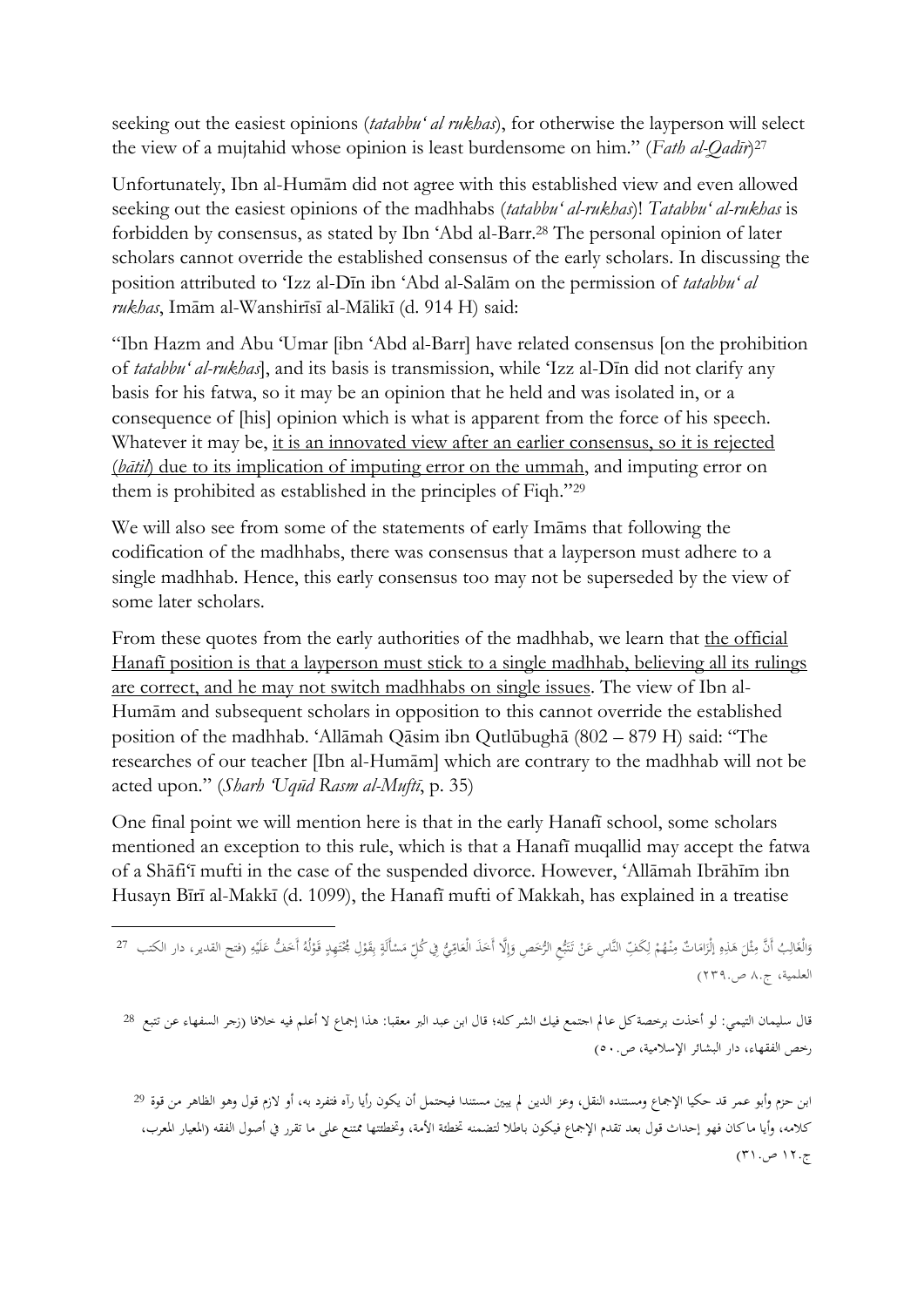seeking out the easiest opinions (*tatabbu' al rukhas*), for otherwise the layperson will select the view of a mujtahid whose opinion is least burdensome on him." (*Fath al-Qadīr*) 27

Unfortunately, Ibn al-Humām did not agree with this established view and even allowed seeking out the easiest opinions of the madhhabs (*tatabbu' al-rukhas*)! *Tatabbu' al-rukhas* is forbidden by consensus, as stated by Ibn 'Abd al-Barr. <sup>28</sup> The personal opinion of later scholars cannot override the established consensus of the early scholars. In discussing the position attributed to 'Izz al-Dīn ibn 'Abd al-Salām on the permission of *tatabbu' al rukhas*, Imām al-Wanshirīsī al-Mālikī (d. 914 H) said:

"Ibn Hazm and Abu 'Umar [ibn 'Abd al-Barr] have related consensus [on the prohibition of *tatabbu' al-rukhas*], and its basis is transmission, while 'Izz al-Dīn did not clarify any basis for his fatwa, so it may be an opinion that he held and was isolated in, or a consequence of [his] opinion which is what is apparent from the force of his speech. Whatever it may be, it is an innovated view after an earlier consensus, so it is rejected (*bātil*) due to its implication of imputing error on the ummah, and imputing error on them is prohibited as established in the principles of Fiqh."<sup>29</sup>

We will also see from some of the statements of early Imāms that following the codification of the madhhabs, there was consensus that a layperson must adhere to a single madhhab. Hence, this early consensus too may not be superseded by the view of some later scholars.

From these quotes from the early authorities of the madhhab, we learn that the official Hanafī position is that a layperson must stick to a single madhhab, believing all its rulings are correct, and he may not switch madhhabs on single issues. The view of Ibn al-Humām and subsequent scholars in opposition to this cannot override the established position of the madhhab. 'Allāmah Qāsim ibn Qutlūbughā (802 – 879 H) said: "The researches of our teacher [Ibn al-Humām] which are contrary to the madhhab will not be acted upon." (*Sharh 'Uqūd Rasm al-Muftī*, p. 35)

One final point we will mention here is that in the early Hanafī school, some scholars mentioned an exception to this rule, which is that a Hanafī muqallid may accept the fatwa of a Shāfi'ī mufti in the case of the suspended divorce. However, 'Allāmah Ibrāhīm ibn Husayn Bīrī al-Makkī (d. 1099), the Hanafī mufti of Makkah, has explained in a treatise

وَالْغَالِبُ أَنَّ مِثْلَ هَذِهِ إِلْزَامَاتٌ مِنْهُمْ لِكُفِّ النَّاسِ عَنْ تَتَبُّعِ الرُّحَصِ وَإِلَّا أَحَذَ الْعَامِّيُّ فِي كُلِّ مَسْأَلَةٍ بِقَوْلِ جُحْتَهِدٍ قَوْلُهُ أَحَفُّ وَنَسِمِ دار الكتب 27 ِ **ٔ** َ َ <u>ٔ</u> ∶ٌ <u>ٔ</u> ِ ب  $\ddot{\epsilon}$ ا<br>ا ِ َ َ إ َ َ ب ِّ ت َ ْ į ل <sup>1</sup> ∫<br>∕ ا<br>ا َ ِ ِ ۵<br>ا َ ث **∕** َ َ العلمية، ج٨. ص٢٧٩.(

**.** 

قال سليمان التيمي: لو أخذت برخصة كل عالم اجتمع فيك الشر كله؛ قال ابن عبد البر معقبا: هذا إجماع لا أعلم فيه خلافا (زجر السفهاء عن تتبع <sup>28</sup> رخص الفقهاء، دار البشائر اإلسالمية، ص٠٠.(

ابن حزم وأبو عمر قد حكيا الإجماع ومستنده النقل، وعز الدين لم يبين مستندا فيحتمل أن يكون رأيا رآه فتفرد به، أو لازم قول وهو الظاهر من قوة <sup>29</sup> كلامه، وأيا ماكان فهو إحداث قول بعد تقدم الإجماع فيكون باطلا لتضمنه تخطئة الأمة، وتخطئتها ممتنع على ما تقرر في أصول الفقه (المعيار المعرب، ج١٢٠ ص ٢١٠)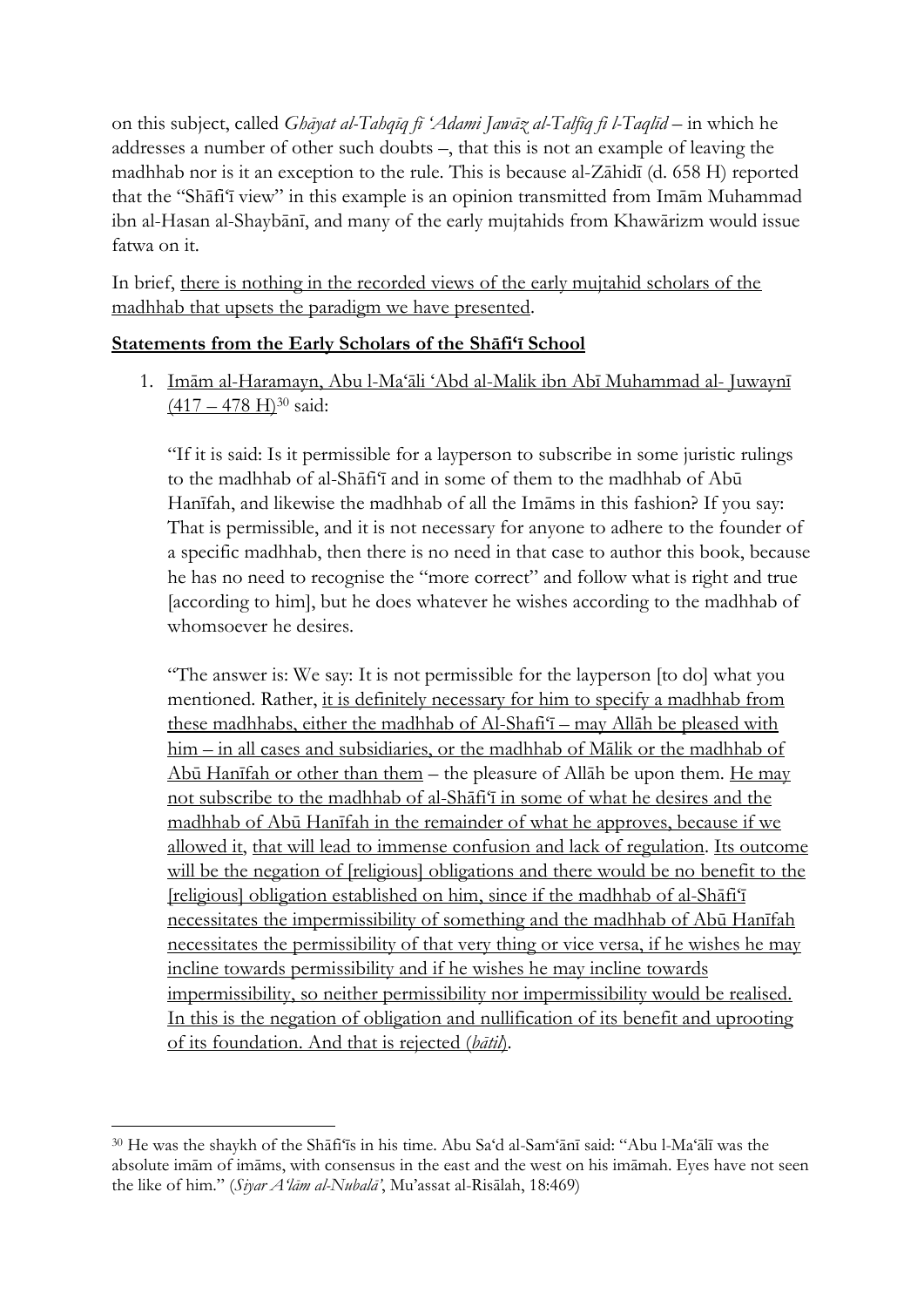on this subject, called *Ghāyat al-Tahqīq fī 'Adami Jawāz al-Talfīq fi l-Taqlīd* – in which he addresses a number of other such doubts –, that this is not an example of leaving the madhhab nor is it an exception to the rule. This is because al-Zāhidī (d. 658 H) reported that the "Shāfi'ī view" in this example is an opinion transmitted from Imām Muhammad ibn al-Hasan al-Shaybānī, and many of the early mujtahids from Khawārizm would issue fatwa on it.

In brief, there is nothing in the recorded views of the early mujtahid scholars of the madhhab that upsets the paradigm we have presented.

# **Statements from the Early Scholars of the Shāfi'ī School**

1. Imām al-Haramayn, Abu l-Ma'āli 'Abd al-Malik ibn Abī Muhammad al- Juwaynī  $(417 - 478 \text{ H})^{30}$  said:

"If it is said: Is it permissible for a layperson to subscribe in some juristic rulings to the madhhab of al-Shāfi'ī and in some of them to the madhhab of Abū Hanīfah, and likewise the madhhab of all the Imāms in this fashion? If you say: That is permissible, and it is not necessary for anyone to adhere to the founder of a specific madhhab, then there is no need in that case to author this book, because he has no need to recognise the "more correct" and follow what is right and true [according to him], but he does whatever he wishes according to the madhhab of whomsoever he desires.

"The answer is: We say: It is not permissible for the layperson [to do] what you mentioned. Rather, it is definitely necessary for him to specify a madhhab from these madhhabs, either the madhhab of Al-Shafi'ī – may Allāh be pleased with him – in all cases and subsidiaries, or the madhhab of Mālik or the madhhab of Abū Hanīfah or other than them – the pleasure of Allāh be upon them. He may not subscribe to the madhhab of al-Shāfi'ī in some of what he desires and the madhhab of Abū Hanīfah in the remainder of what he approves, because if we allowed it, that will lead to immense confusion and lack of regulation. Its outcome will be the negation of [religious] obligations and there would be no benefit to the [religious] obligation established on him, since if the madhhab of al-Shāfi'ī necessitates the impermissibility of something and the madhhab of Abū Hanīfah necessitates the permissibility of that very thing or vice versa, if he wishes he may incline towards permissibility and if he wishes he may incline towards impermissibility, so neither permissibility nor impermissibility would be realised. In this is the negation of obligation and nullification of its benefit and uprooting of its foundation. And that is rejected (*bātil*).

<sup>30</sup> He was the shaykh of the Shāfi'īs in his time. Abu Sa'd al-Sam'ānī said: "Abu l-Ma'ālī was the absolute imām of imāms, with consensus in the east and the west on his imāmah. Eyes have not seen the like of him." (*Siyar A'lām al-Nubalā'*, Mu'assat al-Risālah, 18:469)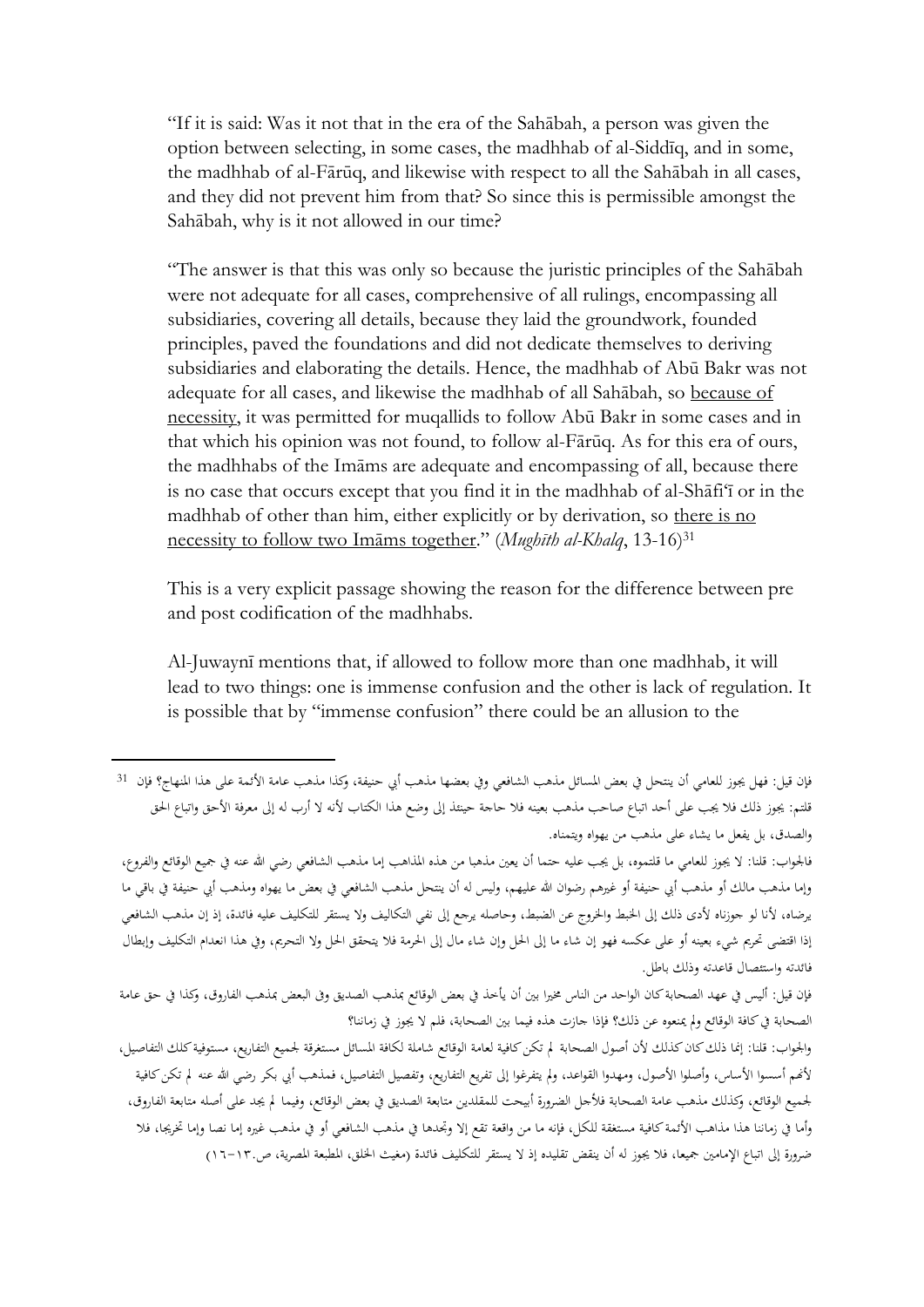"If it is said: Was it not that in the era of the Sahābah, a person was given the option between selecting, in some cases, the madhhab of al-Siddīq, and in some, the madhhab of al-Fārūq, and likewise with respect to all the Sahābah in all cases, and they did not prevent him from that? So since this is permissible amongst the Sahābah, why is it not allowed in our time?

"The answer is that this was only so because the juristic principles of the Sahābah were not adequate for all cases, comprehensive of all rulings, encompassing all subsidiaries, covering all details, because they laid the groundwork, founded principles, paved the foundations and did not dedicate themselves to deriving subsidiaries and elaborating the details. Hence, the madhhab of Abū Bakr was not adequate for all cases, and likewise the madhhab of all Sahābah, so because of necessity, it was permitted for muqallids to follow Abū Bakr in some cases and in that which his opinion was not found, to follow al-Fārūq. As for this era of ours, the madhhabs of the Imāms are adequate and encompassing of all, because there is no case that occurs except that you find it in the madhhab of al-Shāfi'ī or in the madhhab of other than him, either explicitly or by derivation, so there is no necessity to follow two Imāms together." (*Mughīth al-Khalq*, 13-16)<sup>31</sup>

This is a very explicit passage showing the reason for the difference between pre and post codification of the madhhabs.

Al-Juwaynī mentions that, if allowed to follow more than one madhhab, it will lead to two things: one is immense confusion and the other is lack of regulation. It is possible that by "immense confusion" there could be an allusion to the

**.** 

فالجواب: قلنا: لا يجوز للعامي ما قلتموه، بل يجب عليه حتما أن يعين مذهبا من هذه المذاهب إما مذهب الشافعي رضي الله عنه في جميع الوقائع والفروع، وإما مذهب مالك أو مذهب أبي حنيفة أو غيرهم رضوان الله عليهم، وليس له أن ينتحل مذهب الشافعي في بعض ما يهواه ومذهب أبي حنيفة في باقي ما يرضاه، ألنا لو جوزناه ألدى ذلك إىل اخلبط واخلروج عن الضبط، وحاصله يرجع إىل نفي التكاليف وال يستقر للتكليف عليه فائدة، إذ إن مذهب الشافعي إذا اقتضى تحريم شيء بعينه أو على عكسه فهو إن شاء ما إلى الحل مال إلى الحرمة فلا يتحقق الحل ولا التحريم، وفي هذا انعدام التكليف وإبطال فائدته واستئصال قاعدته وذلك باطل.

فإن قيل: أليس يف عهد الصحابة كان الواحد من الناس خمريا بني أن يأخذ يف بعض الوقائع مبذهب الصديق وىف البعض مبذهب الفاروق، وكذا يف حق عامة الصحابة في كافة الوقائع ولم يمنعوه عن ذلك؟ فإذا جازت هذه فيما بين الصحابة، فلم لا يجوز في زماننا؟

والجواب: قلنا: إنما ذلك كان كذلك لأن أصول الصحابة لم تكن كافية لعامة الوقائع شاملة لكافة المسائل مستغرقة لجميع التفاريع، مستوفية كلك التفاصيل، لأنهم أسسوا الأساس، وأصلوا الأصول، ومهدوا القواعد، ولم يتفرغوا إلى تفريع التفاريع، وتفصيل التفاصيل، فمذهب أبي بكر رضي الله عنه لم تكن كافية جلميع الوقائع، وكذلك مذهب عامة الصحابة فألجل الضرورة أبيحت للمقلدين متابعة الصديق يف بعض الوقائع، وفيما م جيد على أصله متابعة الفاروق، وأما في زماننا هذا مذاهب الأئمة كافية مستغقة للكل، فإنه ما من واقعة تقع إلا وتجدها في مذهب الشافعي أو في مذهب غيره إما نصا وإما تخريجا، فلا ضرورة إلى اتباع الإمامين جميعا، فلا يجوز له أن ينقض تقليده إذ لا يستقر للتكليف فائدة (مغيث الخلق، المطبعة المصرية، ص١٣-١٦.()

فإن قيل: فهل يجوز للعامي أن ينتحل في بعض المسائل مذهب الشافعي وفي بعضها مذهب أبي حنيفة، وكذا مذهب عامة الأئمة على هذا المنهاج؟ فإن 31 قلتم: يجوز ذلك فلا يجب على أحد اتباع صاحب مذهب بعينه فلا حاجة حينئذ إلى وضع هذا الكتاب لأنه لا أرب له إلى معرفة الأحق واتباع الحق والصدق، بل يفعل ما يشاء على مذهب من يهواه ويتمناه.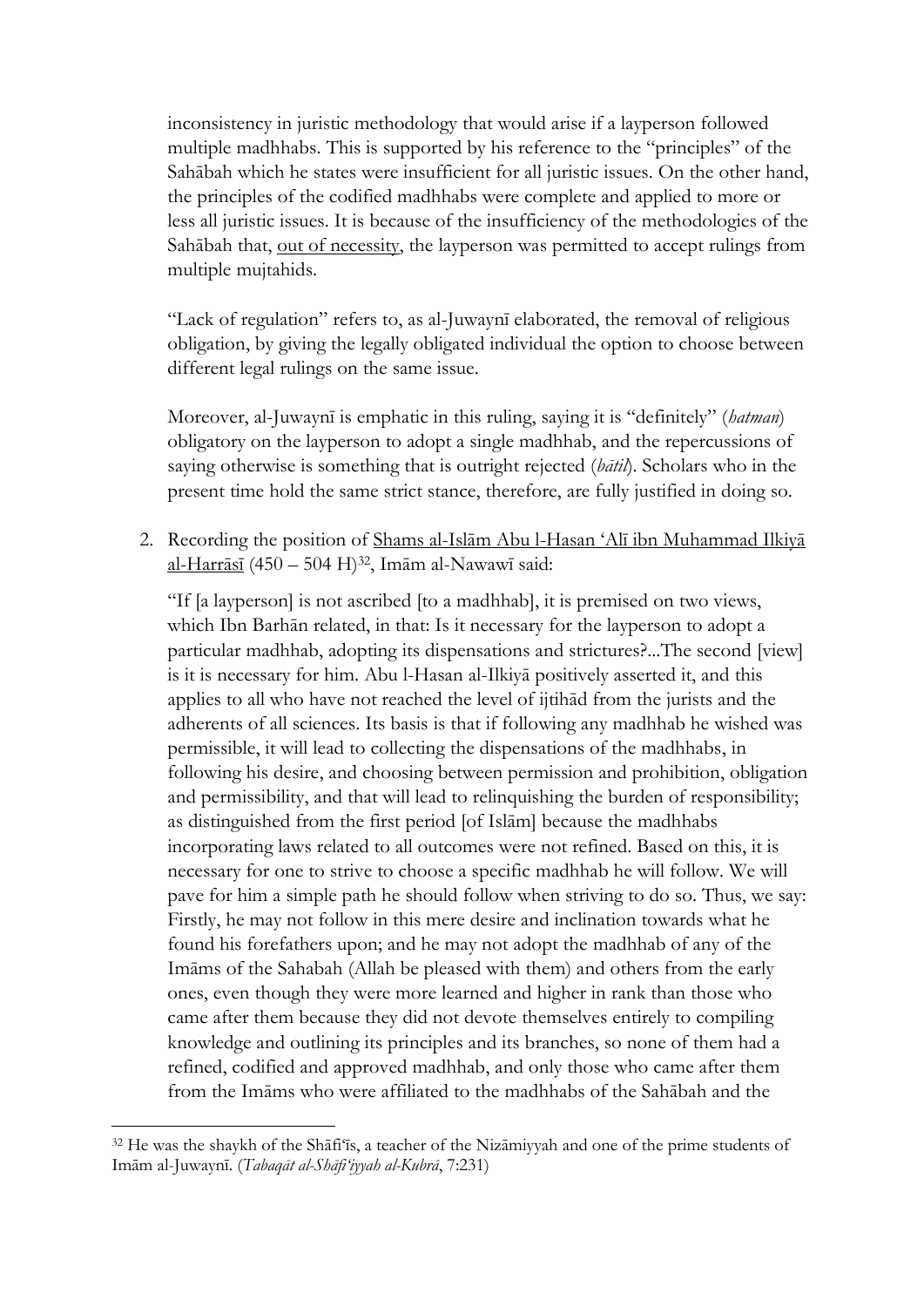inconsistency in juristic methodology that would arise if a layperson followed multiple madhhabs. This is supported by his reference to the "principles" of the Sahābah which he states were insufficient for all juristic issues. On the other hand, the principles of the codified madhhabs were complete and applied to more or less all juristic issues. It is because of the insufficiency of the methodologies of the Sahābah that, out of necessity, the layperson was permitted to accept rulings from multiple mujtahids.

"Lack of regulation" refers to, as al-Juwaynī elaborated, the removal of religious obligation, by giving the legally obligated individual the option to choose between different legal rulings on the same issue.

Moreover, al-Juwaynī is emphatic in this ruling, saying it is "definitely" (*hatman*) obligatory on the layperson to adopt a single madhhab, and the repercussions of saying otherwise is something that is outright rejected (*bātil*). Scholars who in the present time hold the same strict stance, therefore, are fully justified in doing so.

2. Recording the position of Shams al-Islām Abu l-Hasan 'Alī ibn Muhammad Ilkiyā al-Harrāsī (450 – 504 H)<sup>32</sup>, Imām al-Nawawī said:

"If [a layperson] is not ascribed [to a madhhab], it is premised on two views, which Ibn Barhān related, in that: Is it necessary for the layperson to adopt a particular madhhab, adopting its dispensations and strictures?...The second [view] is it is necessary for him. Abu l-Hasan al-Ilkiyā positively asserted it, and this applies to all who have not reached the level of ijtihād from the jurists and the adherents of all sciences. Its basis is that if following any madhhab he wished was permissible, it will lead to collecting the dispensations of the madhhabs, in following his desire, and choosing between permission and prohibition, obligation and permissibility, and that will lead to relinquishing the burden of responsibility; as distinguished from the first period [of Islām] because the madhhabs incorporating laws related to all outcomes were not refined. Based on this, it is necessary for one to strive to choose a specific madhhab he will follow. We will pave for him a simple path he should follow when striving to do so. Thus, we say: Firstly, he may not follow in this mere desire and inclination towards what he found his forefathers upon; and he may not adopt the madhhab of any of the Imāms of the Sahabah (Allah be pleased with them) and others from the early ones, even though they were more learned and higher in rank than those who came after them because they did not devote themselves entirely to compiling knowledge and outlining its principles and its branches, so none of them had a refined, codified and approved madhhab, and only those who came after them from the Imāms who were affiliated to the madhhabs of the Sahābah and the

<sup>32</sup> He was the shaykh of the Shāfi'īs, a teacher of the Nizāmiyyah and one of the prime students of Imām al-Juwaynī. (*Tabaqāt al-Shāfi'iyyah al-Kubrā*, 7:231)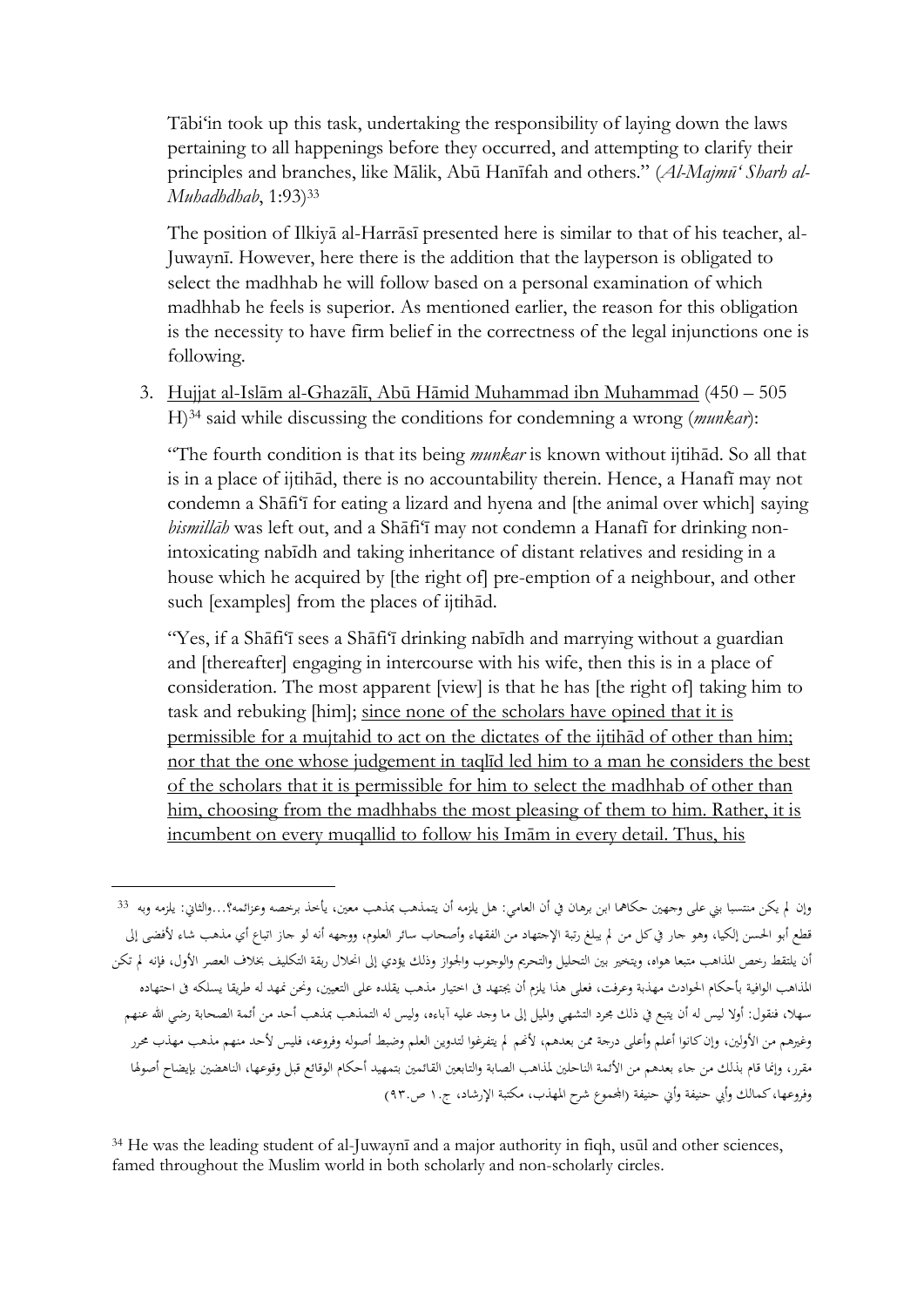Tābi'in took up this task, undertaking the responsibility of laying down the laws pertaining to all happenings before they occurred, and attempting to clarify their principles and branches, like Mālik, Abū Hanīfah and others." (*Al-Majmū' Sharh al-Muhadhdhab*, 1:93)<sup>33</sup>

The position of Ilkiyā al-Harrāsī presented here is similar to that of his teacher, al-Juwaynī. However, here there is the addition that the layperson is obligated to select the madhhab he will follow based on a personal examination of which madhhab he feels is superior. As mentioned earlier, the reason for this obligation is the necessity to have firm belief in the correctness of the legal injunctions one is following.

3. Hujjat al-Islām al-Ghazālī, Abū Hāmid Muhammad ibn Muhammad (450 – 505 H)<sup>34</sup> said while discussing the conditions for condemning a wrong (*munkar*):

"The fourth condition is that its being *munkar* is known without ijtihād. So all that is in a place of ijtihād, there is no accountability therein. Hence, a Hanafī may not condemn a Shāfi'ī for eating a lizard and hyena and [the animal over which] saying *bismillāh* was left out, and a Shāfi'ī may not condemn a Hanafī for drinking nonintoxicating nabīdh and taking inheritance of distant relatives and residing in a house which he acquired by [the right of] pre-emption of a neighbour, and other such [examples] from the places of ijtihād.

"Yes, if a Shāfi'ī sees a Shāfi'ī drinking nabīdh and marrying without a guardian and [thereafter] engaging in intercourse with his wife, then this is in a place of consideration. The most apparent [view] is that he has [the right of] taking him to task and rebuking [him]; since none of the scholars have opined that it is permissible for a mujtahid to act on the dictates of the ijtihād of other than him; nor that the one whose judgement in taqlīd led him to a man he considers the best of the scholars that it is permissible for him to select the madhhab of other than him, choosing from the madhhabs the most pleasing of them to him. Rather, it is incumbent on every muqallid to follow his Imām in every detail. Thus, his

**.** 

<sup>34</sup> He was the leading student of al-Juwaynī and a major authority in fiqh, usūl and other sciences, famed throughout the Muslim world in both scholarly and non-scholarly circles.

وإن لم يكن منتسبا بني على وجهين حكاهما ابن برهان في أن العامي: هل يلزمه أن يتمذهب بمذهب معين، يأخذ برخصه وعزائمه؟...والثانى: يلزمه وبه <sup>33</sup> قطع أبو احلسن إلكيا، وهو جار يف كل من م يبلغ رتبة اإلجتهاد من الفقهاء وأصحاب سائر العلوم، ووجهه أنه لو جاز اتباع أي مذهب شاء ألفضى إىل أن يلتقط رخص المذاهب متبعا هواه، ويتخير بين التحليل والتحريم والوجوب والجواز وذلك يؤدي إلى انحلال ربقة التكليف بخلاف العصر الأول، فإنه لم تكن المذاهب الوافية بأحكام الحوادث مهذبة وعرفت، فعلى هذا يلزم أن يجتهد في اختيار مذهب يقلده على التعيين، ونحن نمهد له طريقا يسلكه في احتهاده سهلا، فنقول: أولا ليس له أن يتبع في ذلك مجرد التشهي والميل إلى ما وجد عليه آباءه، وليس له التمذهب بمذهب أحد من أئمة الصحابة رضي الله عنهم وغيرهم من الأولين، وإن كانوا أعلم وأعلى درجة ممن بعدهم، لأنهم لم يتفرغوا لتدوين العلم وضبط أصوله وفروعه، فليس لأحد منهم مذهب مهذب محرر مقرر، وإنما قام بذلك من جاء بعدهم من الأئمة الناحلين لمذاهب الصابة والتابعين القائمين بتمهيد أحكام الوقائع قبل وقوعها، الناهضين بإيضاح أصولها وفروعها، كمالك وأبي حنيفة وأي حنيفة (الجموع شرح المهذب، مكتبة الإرشاد، ج.١ ص٩٣.)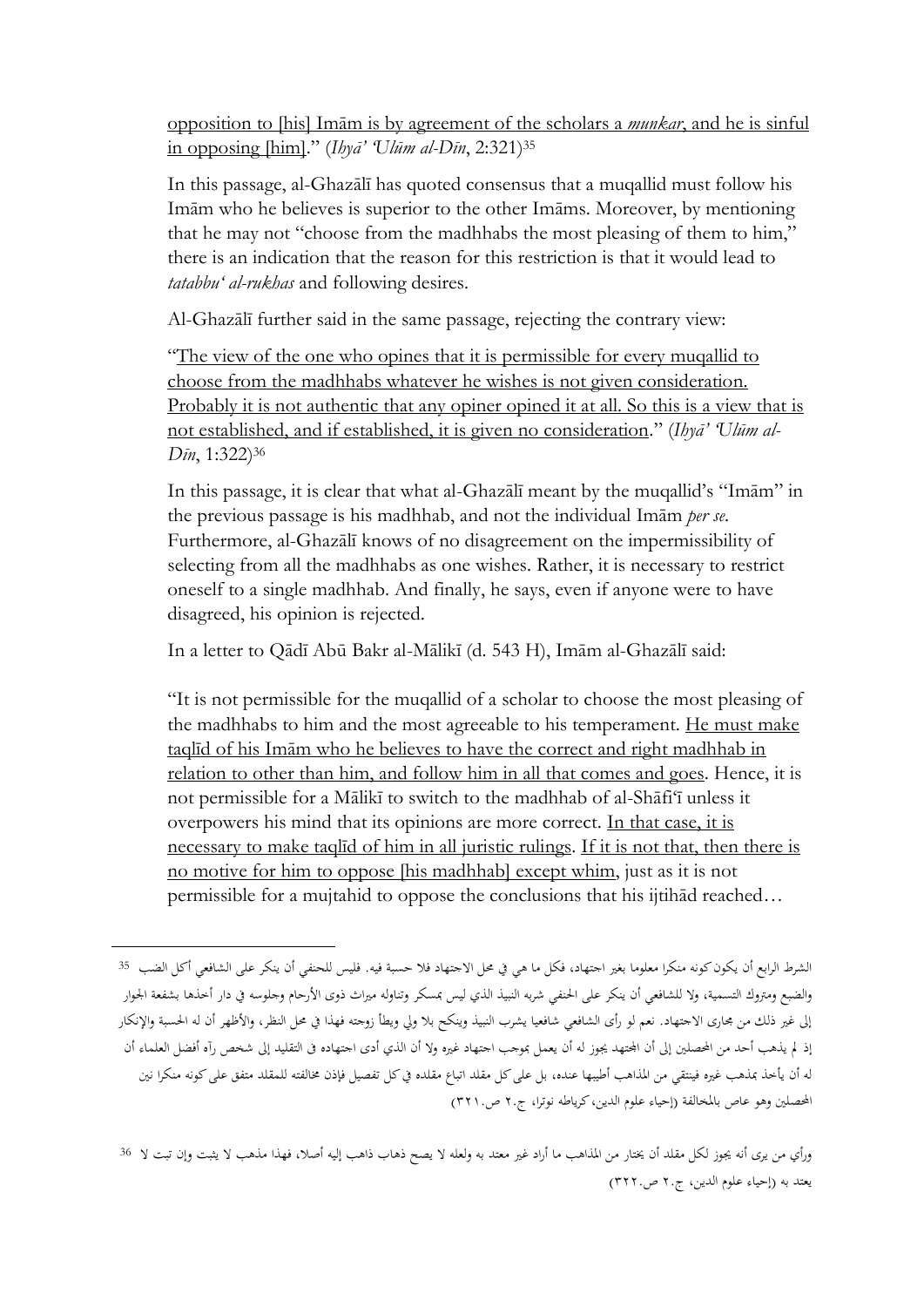opposition to [his] Imām is by agreement of the scholars a *munkar*, and he is sinful in opposing [him]." (*Ihyā' 'Ulūm al-Dīn*, 2:321)<sup>35</sup>

In this passage, al-Ghazālī has quoted consensus that a muqallid must follow his Imām who he believes is superior to the other Imāms. Moreover, by mentioning that he may not "choose from the madhhabs the most pleasing of them to him," there is an indication that the reason for this restriction is that it would lead to *tatabbu' al-rukhas* and following desires.

Al-Ghazālī further said in the same passage, rejecting the contrary view:

"The view of the one who opines that it is permissible for every muqallid to choose from the madhhabs whatever he wishes is not given consideration. Probably it is not authentic that any opiner opined it at all. So this is a view that is not established, and if established, it is given no consideration." (*Ihyā' 'Ulūm al-Dīn*, 1:322) 36

In this passage, it is clear that what al-Ghazālī meant by the muqallid's "Imām" in the previous passage is his madhhab, and not the individual Imām *per se*. Furthermore, al-Ghazālī knows of no disagreement on the impermissibility of selecting from all the madhhabs as one wishes. Rather, it is necessary to restrict oneself to a single madhhab. And finally, he says, even if anyone were to have disagreed, his opinion is rejected.

In a letter to Qādī Abū Bakr al-Mālikī (d. 543 H), Imām al-Ghazālī said:

"It is not permissible for the muqallid of a scholar to choose the most pleasing of the madhhabs to him and the most agreeable to his temperament. He must make taqlīd of his Imām who he believes to have the correct and right madhhab in relation to other than him, and follow him in all that comes and goes. Hence, it is not permissible for a Mālikī to switch to the madhhab of al-Shāfi'ī unless it overpowers his mind that its opinions are more correct. In that case, it is necessary to make taqlīd of him in all juristic rulings. If it is not that, then there is no motive for him to oppose [his madhhab] except whim, just as it is not permissible for a mujtahid to oppose the conclusions that his ijtihād reached…

الشرط الرابع أن يكون كونه منكرا معلوما بغير اجتهاد، فكل ما هي في محل الاجتهاد فلا حسبة فيه. فليس للحنفي أن ينكر على الشافعي أكل الضب 35 والضبع ومرتوك التسمية، وال للشافعي أن ينكر على احلنفي شربه النبيذ الذي ليس مبسكر وتناوله مرياث ذوى األرحام وجلوسه يف دار أخذها بشفعة اجلوار إلى غير ذلك من مجارى الاجتهاد. نعم لو رأى الشافعي شافعيا يشرب النبيذ وينكح بلا ولى ويطأ زوجته فهذا في محل النظر، والأظهر أن له الحسبة والإنكار إذ لم يذهب أحد من المحصلين إلى أن الجتهد يجوز له أن يعمل بموجب اجتهاد غيره ولا أن الذي أدى اجتهاده في التقليد إلى شخص رآه أفضل العلماء أن له أن يأخذ بمذهب غيره فينتقي من المذاهب أطيبها عنده، بل على كل مقلد اتباع مقلده في كل تفصيل فإذن مخالفته للمقلد متفق على كونه منكرا نين المحصلين وهو عاص بالمخالفة (إحياء علوم الدين، كرياطه نوترا، ج٢٠ ص٢٢١.

ورأي من يرى أنه جيوز لكل مقلد أن خيتار من املذاهب ما أراد غري معتد به ولعله ال يصح ذهاب ذاهب إليه أصال، فهذا مذهب ال يثبت وإن تبت ال <sup>36</sup> يعتد به (إحياء علوم الدين، ج٢. ص٢٢٢.)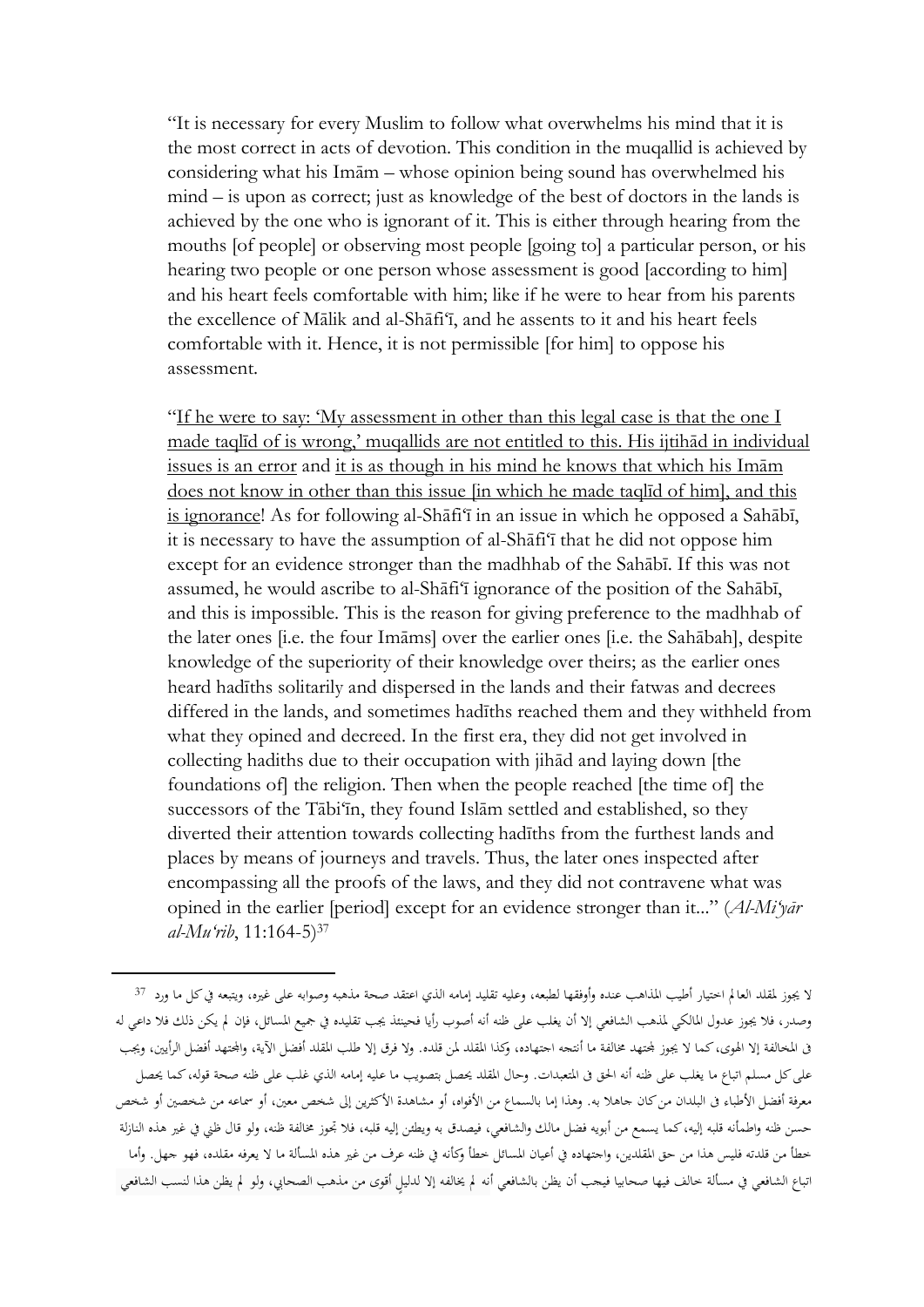"It is necessary for every Muslim to follow what overwhelms his mind that it is the most correct in acts of devotion. This condition in the muqallid is achieved by considering what his Imām – whose opinion being sound has overwhelmed his mind – is upon as correct; just as knowledge of the best of doctors in the lands is achieved by the one who is ignorant of it. This is either through hearing from the mouths [of people] or observing most people [going to] a particular person, or his hearing two people or one person whose assessment is good [according to him] and his heart feels comfortable with him; like if he were to hear from his parents the excellence of Mālik and al-Shāfi'ī, and he assents to it and his heart feels comfortable with it. Hence, it is not permissible [for him] to oppose his assessment.

"If he were to say: 'My assessment in other than this legal case is that the one I made taqlīd of is wrong,' muqallids are not entitled to this. His ijtihād in individual issues is an error and it is as though in his mind he knows that which his Imām does not know in other than this issue [in which he made taqlīd of him], and this is ignorance! As for following al-Shāfi'ī in an issue in which he opposed a Sahābī, it is necessary to have the assumption of al-Shāfi'ī that he did not oppose him except for an evidence stronger than the madhhab of the Sahābī. If this was not assumed, he would ascribe to al-Shāfi'ī ignorance of the position of the Sahābī, and this is impossible. This is the reason for giving preference to the madhhab of the later ones [i.e. the four Imāms] over the earlier ones [i.e. the Sahābah], despite knowledge of the superiority of their knowledge over theirs; as the earlier ones heard hadīths solitarily and dispersed in the lands and their fatwas and decrees differed in the lands, and sometimes hadīths reached them and they withheld from what they opined and decreed. In the first era, they did not get involved in collecting hadiths due to their occupation with jihād and laying down [the foundations of] the religion. Then when the people reached [the time of] the successors of the Tābi'īn, they found Islām settled and established, so they diverted their attention towards collecting hadīths from the furthest lands and places by means of journeys and travels. Thus, the later ones inspected after encompassing all the proofs of the laws, and they did not contravene what was opined in the earlier [period] except for an evidence stronger than it..." (*Al-Mi'yār al-Mu'rib*, 11:164-5)<sup>37</sup>

ال جيوز ملقلد العا م اختيار أطيب املذاهب عنده وأوفقها لطبعه، وعليه تقليد إمامه الذي اعتقد صحة مذهبه وصوابه على غريه، ويتبعه يف كل ما ورد <sup>37</sup> وصدر، فال جيوز عدول املالكي ملذهب الشافعي إال أن يغلب على ظنه أنه أصوب رأيا فحينئذ جيب تقليده يف مجيع املسائل، فإن م يكن ذلك فال داعي له ق المخالفة إلا الهوى، كما لا يجوز لمحتهد مخالفة ما أنتجه اجتهاده، وكذا المقلد. ولا فرق إلا طلب المقلد أفضل الآية، والمحتهد أفضل الرأيين، ويجب على كل مسلم اتباع ما يغلب على ظنه أنه الحق في المتعبدات. وحال المقلد يحصل بتصويب ما عليه إمامه الذي غلب على ظنه صحة قوله، كما يحصل معرفة أفضل الأطباء في البلدان من كان جاهلا به. وهذا إما بالسماع من الأفواه، أو مشاهدة الأكثرين إلى شخص معين، أو سماعه من شخصين أو شخص حسن ظنه واطمأنه قلبه إليه، كما يسمع من أبويه فضل مالك والشافعي، فيصدق به ويطئن إليه قلبه، فلا تجوز مخالفة ظنه، ولو قال ظني في غير هذه النازلة خطأ من قلدته فليس هذا من حق املقلدين، واجتهاده يف أعيان املسائل خطأ وكأنه يف ظنه عرف من غري هذه املسألة ما ال يعرفه مقلده، فهو جهل. وأما اتباع الشافعي في مسألة خالف فيها صحابيا فيجب أن يظن بالشافعي أنه لم يخالفه إلا لدليل أقوى من مذهب الصحابي، ولو لم يظن هذا لنسب الشافعي

 $\overline{\phantom{a}}$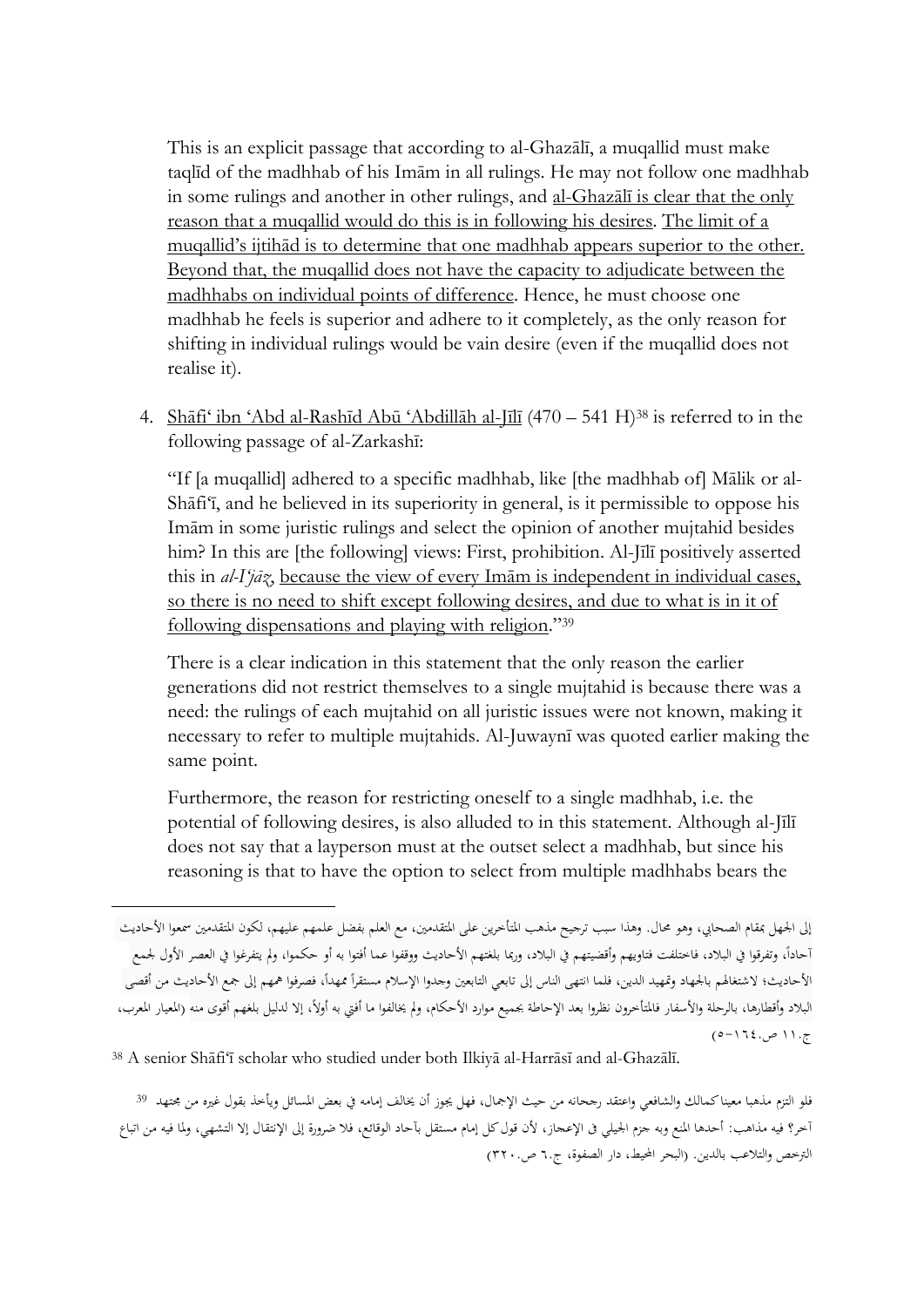This is an explicit passage that according to al-Ghazālī, a muqallid must make taqlīd of the madhhab of his Imām in all rulings. He may not follow one madhhab in some rulings and another in other rulings, and al-Ghazālī is clear that the only reason that a muqallid would do this is in following his desires. The limit of a muqallid's ijtihād is to determine that one madhhab appears superior to the other. Beyond that, the muqallid does not have the capacity to adjudicate between the madhhabs on individual points of difference. Hence, he must choose one madhhab he feels is superior and adhere to it completely, as the only reason for shifting in individual rulings would be vain desire (even if the muqallid does not realise it).

4. Shāfi' ibn 'Abd al-Rashīd Abū 'Abdillāh al-Jīlī (470 – 541 H)<sup>38</sup> is referred to in the following passage of al-Zarkashī:

"If [a muqallid] adhered to a specific madhhab, like [the madhhab of] Mālik or al-Shāfi'ī, and he believed in its superiority in general, is it permissible to oppose his Imām in some juristic rulings and select the opinion of another mujtahid besides him? In this are [the following] views: First, prohibition. Al-Jīlī positively asserted this in *al-I'jāz*, because the view of every Imām is independent in individual cases, so there is no need to shift except following desires, and due to what is in it of following dispensations and playing with religion."<sup>39</sup>

There is a clear indication in this statement that the only reason the earlier generations did not restrict themselves to a single mujtahid is because there was a need: the rulings of each mujtahid on all juristic issues were not known, making it necessary to refer to multiple mujtahids. Al-Juwaynī was quoted earlier making the same point.

Furthermore, the reason for restricting oneself to a single madhhab, i.e. the potential of following desires, is also alluded to in this statement. Although al-Jīlī does not say that a layperson must at the outset select a madhhab, but since his reasoning is that to have the option to select from multiple madhhabs bears the

إلى الجهل ممقام الصحابي، وهو محال. وهذا سبب ترجيح مذهب المتأخرين على المتقدمين، مع العلم بفضل علمهم عليهم، لكون المتقدمين سمعوا الأحاديث أحاداً، وتفرقوا في البلاد، فاختلفت فتاويهم وأقضيتهم في البلاد، وربما بلغتهم الأحاديث ووقفوا عما أفتوا به أو حكموا، ولم يتفرغوا في العصر الأول لجمع الأحاديث؛ لاشتغالهم بالجهاد وتمهيد الدين، فلما انتهى الناس إلى تابعي التابعين وجدوا الإسلام مستقرأ ممهدأ، فصرفوا همهم إلى جمع الأحاديث من أقصى البلاد وأقطارها، بالرحلة والأسفار فالمتأخرون نظروا بعد الإحاطة بجميع موارد الأحكام، ولم يخالفوا ما أفتى به أولاً، إلا لدليل بلغهم أقوى منه (المعيار المعرب، ج١١. ص٠-١٦٠.(

<sup>38</sup> A senior Shāfi'ī scholar who studied under both Ilkiyā al-Harrāsī and al-Ghazālī.

 $\overline{\phantom{a}}$ 

فلو التزم مذهبا معينا كمالك والشافعي واعتقد رجحانه من حيث الإجمال، فهل يجوز أن يخالف إمامه في بعض المسائل ويأخذ بقول غيره من مجتهد <sup>39</sup> آخر؟ فيه مذاهب: أحدها املنع وبه جزم اجليلي ىف اإلعجاز، ألن قول كل إمام مستقل بآحاد الوقائع، فال ضرورة إىل اإلنتقال إال التشهي، وملا فيه من اتباع الترخص والتلاعب بالدين. (البحر المحيط، دار الصفوة، ج٦. ص٢٢٠.)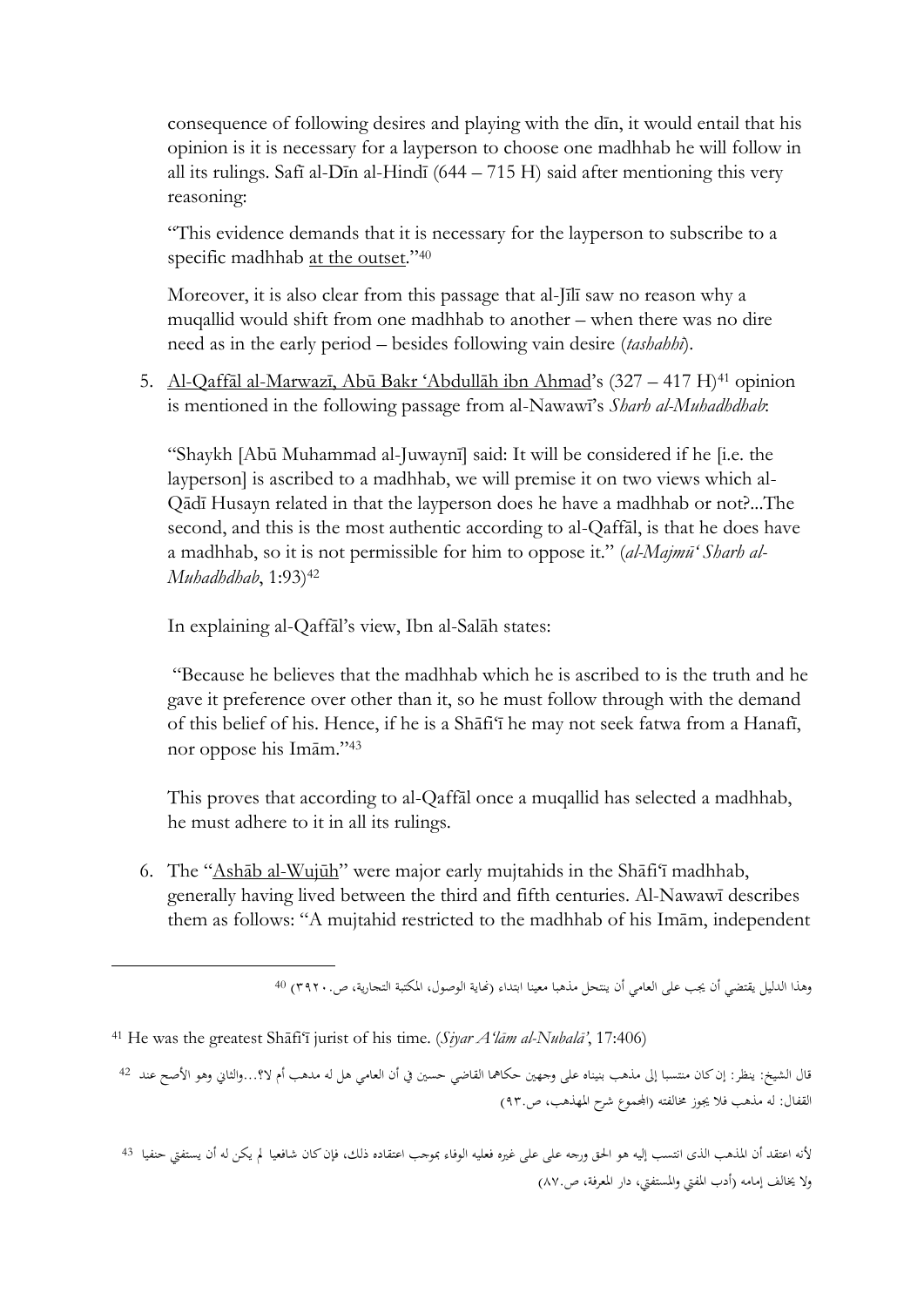consequence of following desires and playing with the dīn, it would entail that his opinion is it is necessary for a layperson to choose one madhhab he will follow in all its rulings. Safī al-Dīn al-Hindī (644 – 715 H) said after mentioning this very reasoning:

"This evidence demands that it is necessary for the layperson to subscribe to a specific madhhab <u>at the outset</u>."<sup>40</sup>

Moreover, it is also clear from this passage that al-Jīlī saw no reason why a muqallid would shift from one madhhab to another – when there was no dire need as in the early period – besides following vain desire (*tashahhī*).

5. Al-Qaffāl al-Marwazī, Abū Bakr 'Abdullāh ibn Ahmad's (327 – 417 H)<sup>41</sup> opinion is mentioned in the following passage from al-Nawawī's *Sharh al-Muhadhdhab*:

"Shaykh [Abū Muhammad al-Juwaynī] said: It will be considered if he [i.e. the layperson] is ascribed to a madhhab, we will premise it on two views which al-Qādī Husayn related in that the layperson does he have a madhhab or not?...The second, and this is the most authentic according to al-Qaffāl, is that he does have a madhhab, so it is not permissible for him to oppose it." (*al-Majmū' Sharh al-Muhadhdhab*, 1:93)<sup>42</sup>

In explaining al-Qaffāl's view, Ibn al-Salāh states:

"Because he believes that the madhhab which he is ascribed to is the truth and he gave it preference over other than it, so he must follow through with the demand of this belief of his. Hence, if he is a Shāfi'ī he may not seek fatwa from a Hanafī, nor oppose his Imām." 43

This proves that according to al-Qaffāl once a muqallid has selected a madhhab, he must adhere to it in all its rulings.

6. The "Ashāb al-Wujūh" were major early mujtahids in the Shāfi'ī madhhab, generally having lived between the third and fifth centuries. Al-Nawawī describes them as follows: "A mujtahid restricted to the madhhab of his Imām, independent

وهذا الدليل يقتضي أن يجب على العامي أن ينتحل مذهبا معينا ابتداء (نماية الوصول، المكتبة التجارية، ص٢٩٢٠. 40

<sup>41</sup> He was the greatest Shāfi'ī jurist of his time. (*Siyar A'lām al-Nubalā'*, 17:406)

**.** 

قال الشيخ: ينظر: إن كان منتسبا إىل مذهب بنيناه على وجهني حكامها القاضي حسني يف أن العامي هل له مدهب أم ال؟...والثاين وهو األصح عند <sup>42</sup> القفال: له مذهب فلا يجوز مخالفته (الجمموع شرح المهذهب، ص٩٣٠)

ألنه اعتقد أن املذهب الذى انتسب إليه هو احلق ورجه على على غريه فعليه الوفاء مبوجب اعتقاده ذلك، فإن كان شافعيا م يكن له أن يستفيت حنفيا <sup>43</sup> ولا يخالف إمامه (أدب المفتى والمستفتى، دار المعرفة، ص٨٧.)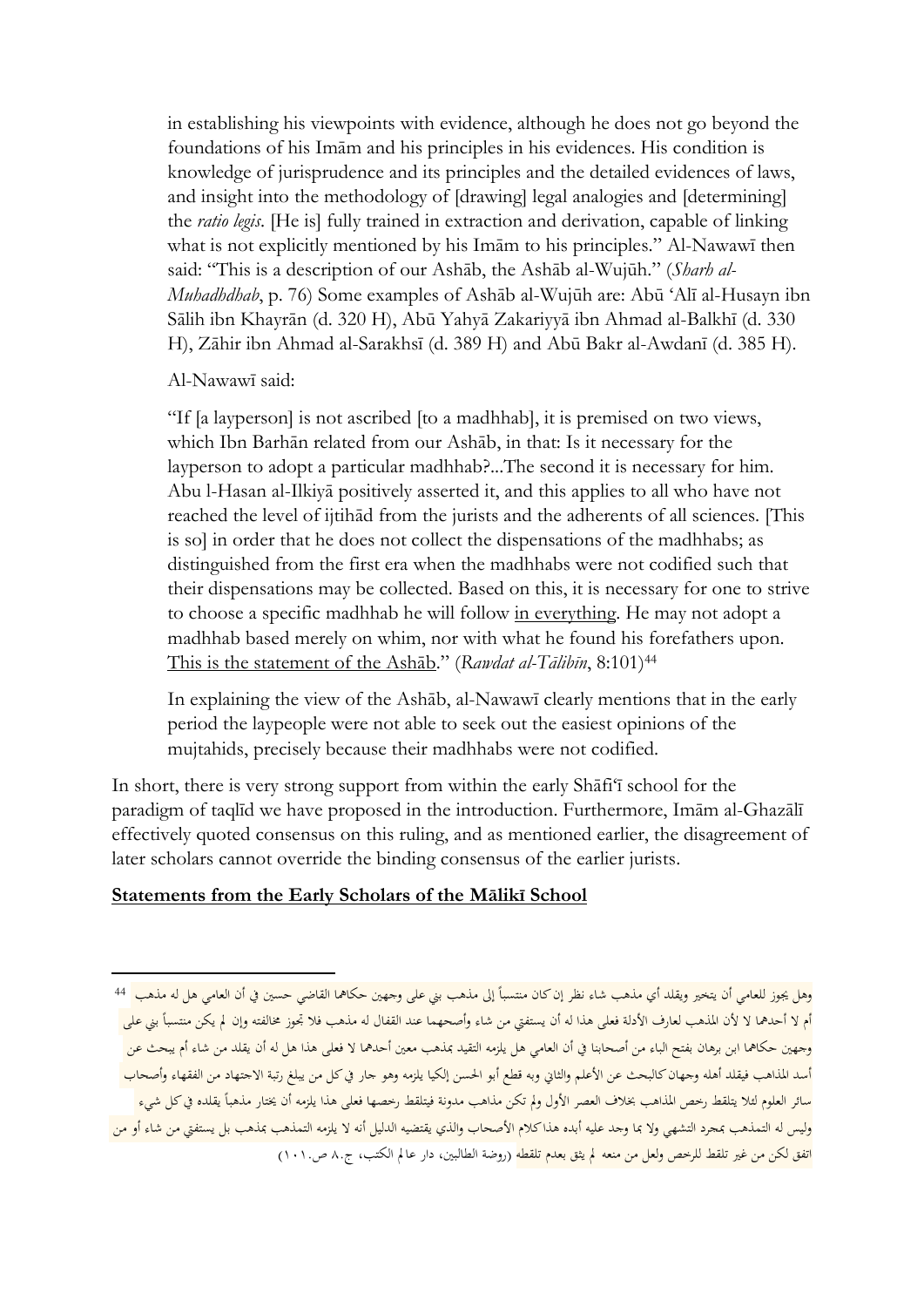in establishing his viewpoints with evidence, although he does not go beyond the foundations of his Imām and his principles in his evidences. His condition is knowledge of jurisprudence and its principles and the detailed evidences of laws, and insight into the methodology of [drawing] legal analogies and [determining] the *ratio legis*. [He is] fully trained in extraction and derivation, capable of linking what is not explicitly mentioned by his Imām to his principles." Al-Nawawī then said: "This is a description of our Ashāb, the Ashāb al-Wujūh." (*Sharh al-Muhadhdhab*, p. 76) Some examples of Ashāb al-Wujūh are: Abū 'Alī al-Husayn ibn Sālih ibn Khayrān (d. 320 H), Abū Yahyā Zakariyyā ibn Ahmad al-Balkhī (d. 330 H), Zāhir ibn Ahmad al-Sarakhsī (d. 389 H) and Abū Bakr al-Awdanī (d. 385 H).

Al-Nawawī said:

 $\overline{\phantom{a}}$ 

"If [a layperson] is not ascribed [to a madhhab], it is premised on two views, which Ibn Barhān related from our Ashāb, in that: Is it necessary for the layperson to adopt a particular madhhab?...The second it is necessary for him. Abu l-Hasan al-Ilkiyā positively asserted it, and this applies to all who have not reached the level of ijtihād from the jurists and the adherents of all sciences. [This is so] in order that he does not collect the dispensations of the madhhabs; as distinguished from the first era when the madhhabs were not codified such that their dispensations may be collected. Based on this, it is necessary for one to strive to choose a specific madhhab he will follow in everything. He may not adopt a madhhab based merely on whim, nor with what he found his forefathers upon. This is the statement of the Ashāb." (*Rawdat al-Tālibīn*, 8:101)<sup>44</sup>

In explaining the view of the Ashāb, al-Nawawī clearly mentions that in the early period the laypeople were not able to seek out the easiest opinions of the mujtahids, precisely because their madhhabs were not codified.

In short, there is very strong support from within the early Shāfi'ī school for the paradigm of taqlīd we have proposed in the introduction. Furthermore, Imām al-Ghazālī effectively quoted consensus on this ruling, and as mentioned earlier, the disagreement of later scholars cannot override the binding consensus of the earlier jurists.

# **Statements from the Early Scholars of the Mālikī School**

وهل يجوز للعامي أن يتخير ويقلد أي مذهب شاء نظر إن كان منتسباً إلى مذهب بني على وجهين حكاهما القاضي حسين في أن العامي هل له مذهب <sup>44</sup> ام لا أحدهما لا لأن المذهب لعارف الأدلة فعلى هذا له أن يستفتي من شاء وأصحهما عند القفال له مذهب فلا تجوز مخالفته وإن لم يكن منتسباً بني على وجهني حكامها ابن برهان بفتح الباء من أصحابنا يف أن العامي هل يلزمه التقيد مبذهب معني أحدمها ال فعلى هذا هل له أن يقلد من شاء أم يبحث عن أسد المذاهب فيقلد أهله وجهان كالبحث عن الأعلم والثاني وبه قطع أبو الحسن إلكيا يلزمه وهو جار في كل من يبلغ رتبة الاجتهاد من الفقهاء وأصحاب سائر العلوم لئلا يتلقط رحص المذاهب بخلاف العصر الأول ولم تكن مذاهب مدونة فيتلقط رحصها فعلى هذا يلزمه أن يختار مذهبأ يقلده في كل شيء وليس له التمذهب بمجرد التشهي ولا بما وجد عليه أبده هذا كلام الأصحاب والذي يقتضيه الدليل أنه لا يلزمه التمذهب بمذهب بل يستفتي من شاء أو من اتفق لكن من غير تلقط للرخص ولعل من منعه لم يثق بعدم تلقطه (روضة الطالبين، دار عا لم الكتب، ج٨. ص١٠١.)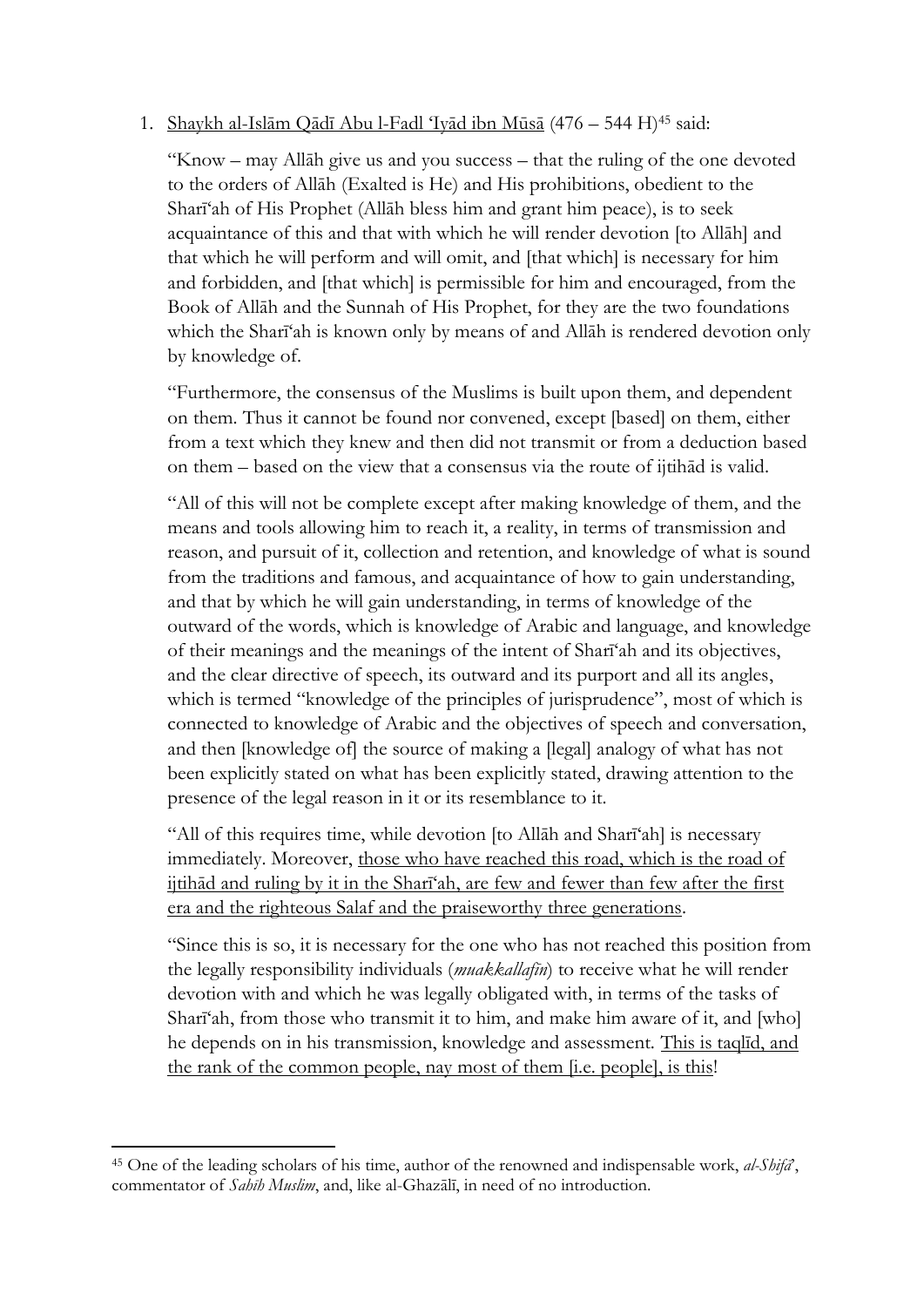# 1. Shaykh al-Islām Qādī Abu l-Fadl 'Iyād ibn Mūsā (476 – 544 H) <sup>45</sup> said:

"Know – may Allāh give us and you success – that the ruling of the one devoted to the orders of Allāh (Exalted is He) and His prohibitions, obedient to the Sharī'ah of His Prophet (Allāh bless him and grant him peace), is to seek acquaintance of this and that with which he will render devotion [to Allāh] and that which he will perform and will omit, and [that which] is necessary for him and forbidden, and [that which] is permissible for him and encouraged, from the Book of Allāh and the Sunnah of His Prophet, for they are the two foundations which the Sharī'ah is known only by means of and Allāh is rendered devotion only by knowledge of.

"Furthermore, the consensus of the Muslims is built upon them, and dependent on them. Thus it cannot be found nor convened, except [based] on them, either from a text which they knew and then did not transmit or from a deduction based on them – based on the view that a consensus via the route of ijtihād is valid.

"All of this will not be complete except after making knowledge of them, and the means and tools allowing him to reach it, a reality, in terms of transmission and reason, and pursuit of it, collection and retention, and knowledge of what is sound from the traditions and famous, and acquaintance of how to gain understanding, and that by which he will gain understanding, in terms of knowledge of the outward of the words, which is knowledge of Arabic and language, and knowledge of their meanings and the meanings of the intent of Sharī'ah and its objectives, and the clear directive of speech, its outward and its purport and all its angles, which is termed "knowledge of the principles of jurisprudence", most of which is connected to knowledge of Arabic and the objectives of speech and conversation, and then [knowledge of] the source of making a [legal] analogy of what has not been explicitly stated on what has been explicitly stated, drawing attention to the presence of the legal reason in it or its resemblance to it.

"All of this requires time, while devotion [to Allāh and Sharī'ah] is necessary immediately. Moreover, those who have reached this road, which is the road of ijtihād and ruling by it in the Sharī'ah, are few and fewer than few after the first era and the righteous Salaf and the praiseworthy three generations.

"Since this is so, it is necessary for the one who has not reached this position from the legally responsibility individuals (*muakkallafīn*) to receive what he will render devotion with and which he was legally obligated with, in terms of the tasks of Sharī'ah, from those who transmit it to him, and make him aware of it, and [who] he depends on in his transmission, knowledge and assessment. This is taqlīd, and the rank of the common people, nay most of them [i.e. people], is this!

<sup>1</sup> <sup>45</sup> One of the leading scholars of his time, author of the renowned and indispensable work, *al-Shifā*', commentator of *Sahīh Muslim*, and, like al-Ghazālī, in need of no introduction.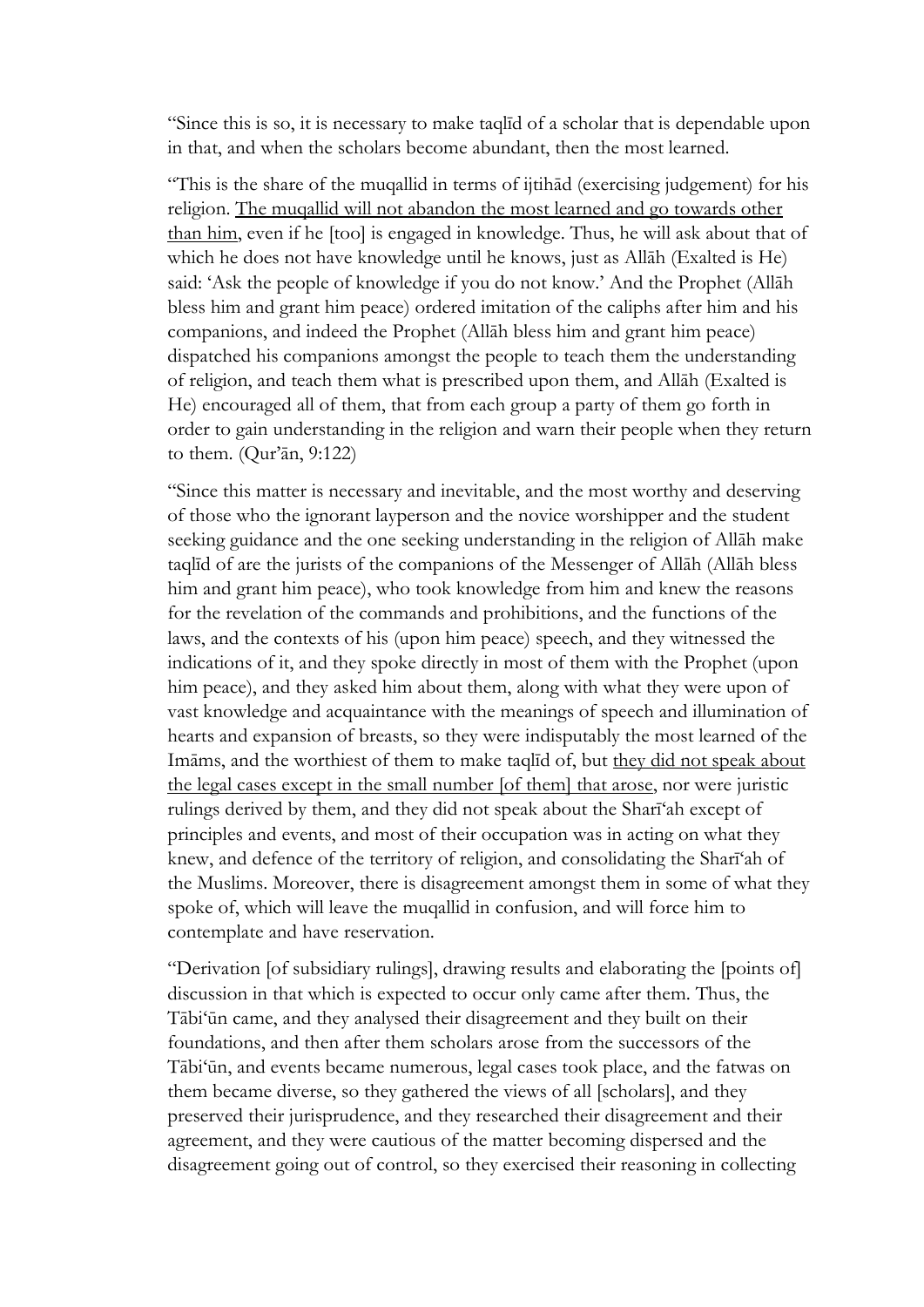"Since this is so, it is necessary to make taqlīd of a scholar that is dependable upon in that, and when the scholars become abundant, then the most learned.

"This is the share of the muqallid in terms of ijtihād (exercising judgement) for his religion. The muqallid will not abandon the most learned and go towards other than him, even if he [too] is engaged in knowledge. Thus, he will ask about that of which he does not have knowledge until he knows, just as Allāh (Exalted is He) said: 'Ask the people of knowledge if you do not know.' And the Prophet (Allāh bless him and grant him peace) ordered imitation of the caliphs after him and his companions, and indeed the Prophet (Allāh bless him and grant him peace) dispatched his companions amongst the people to teach them the understanding of religion, and teach them what is prescribed upon them, and Allāh (Exalted is He) encouraged all of them, that from each group a party of them go forth in order to gain understanding in the religion and warn their people when they return to them. (Qur'ān, 9:122)

"Since this matter is necessary and inevitable, and the most worthy and deserving of those who the ignorant layperson and the novice worshipper and the student seeking guidance and the one seeking understanding in the religion of Allāh make taqlīd of are the jurists of the companions of the Messenger of Allāh (Allāh bless him and grant him peace), who took knowledge from him and knew the reasons for the revelation of the commands and prohibitions, and the functions of the laws, and the contexts of his (upon him peace) speech, and they witnessed the indications of it, and they spoke directly in most of them with the Prophet (upon him peace), and they asked him about them, along with what they were upon of vast knowledge and acquaintance with the meanings of speech and illumination of hearts and expansion of breasts, so they were indisputably the most learned of the Imāms, and the worthiest of them to make taqlīd of, but they did not speak about the legal cases except in the small number [of them] that arose, nor were juristic rulings derived by them, and they did not speak about the Sharī'ah except of principles and events, and most of their occupation was in acting on what they knew, and defence of the territory of religion, and consolidating the Sharī'ah of the Muslims. Moreover, there is disagreement amongst them in some of what they spoke of, which will leave the muqallid in confusion, and will force him to contemplate and have reservation.

"Derivation [of subsidiary rulings], drawing results and elaborating the [points of] discussion in that which is expected to occur only came after them. Thus, the Tābi'ūn came, and they analysed their disagreement and they built on their foundations, and then after them scholars arose from the successors of the Tābi'ūn, and events became numerous, legal cases took place, and the fatwas on them became diverse, so they gathered the views of all [scholars], and they preserved their jurisprudence, and they researched their disagreement and their agreement, and they were cautious of the matter becoming dispersed and the disagreement going out of control, so they exercised their reasoning in collecting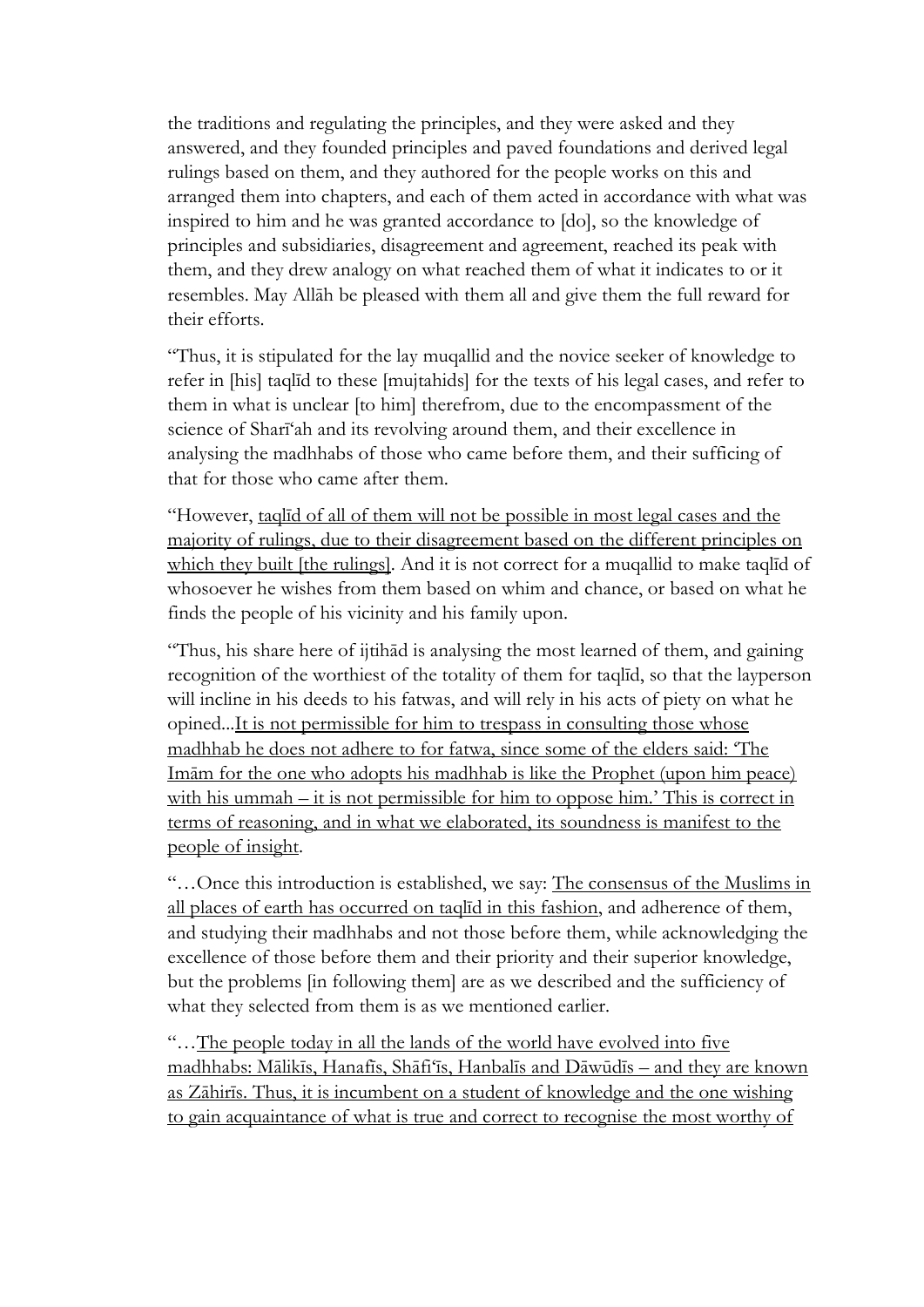the traditions and regulating the principles, and they were asked and they answered, and they founded principles and paved foundations and derived legal rulings based on them, and they authored for the people works on this and arranged them into chapters, and each of them acted in accordance with what was inspired to him and he was granted accordance to [do], so the knowledge of principles and subsidiaries, disagreement and agreement, reached its peak with them, and they drew analogy on what reached them of what it indicates to or it resembles. May Allāh be pleased with them all and give them the full reward for their efforts.

"Thus, it is stipulated for the lay muqallid and the novice seeker of knowledge to refer in [his] taqlīd to these [mujtahids] for the texts of his legal cases, and refer to them in what is unclear [to him] therefrom, due to the encompassment of the science of Sharī'ah and its revolving around them, and their excellence in analysing the madhhabs of those who came before them, and their sufficing of that for those who came after them.

"However, taqlīd of all of them will not be possible in most legal cases and the majority of rulings, due to their disagreement based on the different principles on which they built [the rulings]. And it is not correct for a muqallid to make taqlid of whosoever he wishes from them based on whim and chance, or based on what he finds the people of his vicinity and his family upon.

"Thus, his share here of ijtihād is analysing the most learned of them, and gaining recognition of the worthiest of the totality of them for taqlīd, so that the layperson will incline in his deeds to his fatwas, and will rely in his acts of piety on what he opined...It is not permissible for him to trespass in consulting those whose madhhab he does not adhere to for fatwa, since some of the elders said: 'The Imām for the one who adopts his madhhab is like the Prophet (upon him peace) with his ummah – it is not permissible for him to oppose him.' This is correct in terms of reasoning, and in what we elaborated, its soundness is manifest to the people of insight.

"…Once this introduction is established, we say: The consensus of the Muslims in all places of earth has occurred on taqlīd in this fashion, and adherence of them, and studying their madhhabs and not those before them, while acknowledging the excellence of those before them and their priority and their superior knowledge, but the problems [in following them] are as we described and the sufficiency of what they selected from them is as we mentioned earlier.

"…The people today in all the lands of the world have evolved into five madhhabs: Mālikīs, Hanafīs, Shāfi'īs, Hanbalīs and Dāwūdīs – and they are known as Zāhirīs. Thus, it is incumbent on a student of knowledge and the one wishing to gain acquaintance of what is true and correct to recognise the most worthy of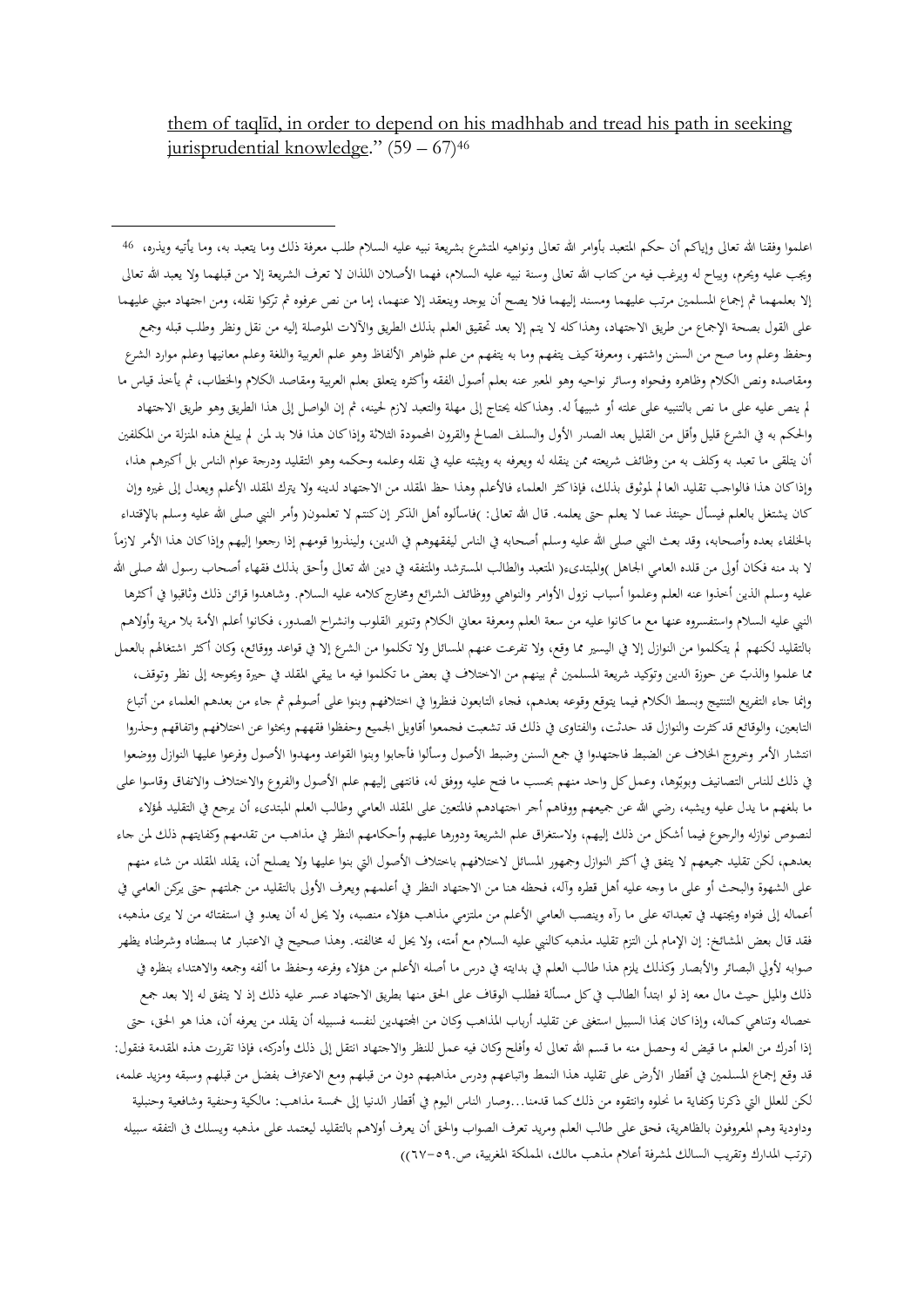them of taqlīd, in order to depend on his madhhab and tread his path in seeking jurisprudential knowledge." (59 – 67)<sup>46</sup>

1

اعلموا وفقنا الله تعالى وإياكم أن حكم المتعبد بأوامر الله تعالى ونواهيه المثشرع بشريعة نبيه عليه السلام طلب معرفة ذلك وما يتعبد به، وما يأتيه ويذره، 46 ويجب عليه ويحرم، ويباح له ويرغب فيه من كتاب الله تعالى وسنة نبيه عليه السلام، فهما الأصلان اللذان لا تعرف الشريعة إلا من قبلهما ولا يعبد الله تعالى إلا بعلمهما ثم إجماع المسلمين مرتب عليهما ومسند إليهما فلا يصح أن يوجد وينعقد إلا عنهما، إما من نص عرفوه ثم تركوا نقله، ومن اجتهاد مبني عليهما على القول بصحة الإجماع من طريق الاجتهاد، وهذا كله لا يتم إلا بعد تحقيق العلم بذلك الطريق والآلات الموصلة إليه من نقل ونظر وطلب قبله وجمع وحفظ وعلم وما صح من السنن واشتهر، ومعرفة كيف يتفهم وما به يتفهم من علم ظواهر الألفاظ وهو علم العربية واللغة وعلم معانيها وعلم موارد الشرع ومقاصده ونص الكالم وظاهره وفحواه وسائر نواحيه وهو املعرب عنه بعلم أصول الفقه وأكثره يتعلق بعلم العربية ومقاصد الكالم واخلطاب، مث يأخذ قياس ما لم ينص عليه على ما نص بالتنبيه على علته أو شبيهاً له. وهذاكله يحتاج إلى مهلة والتعبد لازم لحينه، ثم إن الواصل إلى هذا الطريق وهو طريق الاجتهاد والحكم به في الشرع قليل وأقل من القليل بعد الصدر الأول والسلف الصالح والقرون المحمودة الثلاثة وإذاكان هذا فلا بد لمن لم يبلغ هذه المنزلة من المكلفين أن يتلقى ما تعبد به وكلف به من وظائف شريعته ممن ينقله له ويعرفه به ويثبته عليه يف نقله وعلمه وحكمه وهو التقليد ودرجة عوام الناس بل أكربهم هذا، وإذاكان هذا فالواجب تقليد العالم لموثوق بذلك، فإذاكثر العلماء فالأعلم وهذا حظ المقلد من الاجتهاد لدينه ولا يترك المقلد الأعلم ويعدل إلى غيره وإن كان يشتغل بالعلم فيسأل حينئذ عما لا يعلم حتى يعلمه. قال الله تعالى: )فاسألوه أهل الذكر إن كنتم لا تعلمون( وأمر النبي صلى الله عليه وسلم بالإقتداء  $\overline{a}$ بالخلفاء بعده وأصحابه، وقد بعث النبي صلى الله عليه وسلم أصحابه في الناس ليفقهوهم في الدين، ولينذروا قومهم إذا رجعوا إليهم وإذا كان هذا الأمر لازماً لا بد منه فكان أولى من قلده العامي الجاهل )والمبتدىء( المتعبد والطالب المسترشد والمتفقه في دين الله تعالى وأحق بذلك فقهاء أصحاب رسول الله صلى الله عليه وسلم الذين أخذوا عنه العلم وعلموا أسباب نزول الأوامر والنواهي ووظائف الشرائع ومخارج كلامه عليه السلام. وشاهدوا قرائن ذلك وثاقبوا في أكثرها النبي عليه السلام واستفسروه عنها مع ما كانوا عليه من سعة العلم ومعرفة معاني الكلام وتنوير القلوب وانشراح الصدور، فكانوا أعلم الأمة بلا مرية وأولاهم بالتقليد لكنهم لم يتكلموا من النوازل إلا في اليسير مما وقع، ولا تفرعت عنهم المسائل ولا تكلموا من الشرع إلا في قواعد ووقائع، وكان أكثر اشتغالهم بالعمل مما علموا والذبّ عن حوزة الدين وتوكيد شريعة المسلمين ثم بينهم من الاختلاف في بعض ما تكلموا فيه ما يبقي المقلد في حيرة ويحوجه إلى نظر وتوقف، وإنما جاء التفريع التنتيج وبسط الكلام فيما يتوقع وقوعه بعدهم، فجاء التابعون فنظروا في اختلافهم وبنوا على أصولهم ثم جاء من بعدهم العلماء من أتباع التابعين، والوقائع قد كثرت والنوازل قد حدثت، والفتاوى في ذلك قد تشعبت فجمعوا أقاويل الجميع وحفظوا فقههم وبحثوا عن اختلافهم واتفاقهم وحذروا انتشار الأمر وحروج الخلاف عن الضبط فاجتهدوا في جمع السنن وضبط الأصول وسألوا فأجابوا وبنوا القواعد ومهدوا الأصول وفرعوا عليها النوازل ووضعوا في ذلك للناس التصانيف وبوبّوها، وعمل كل واحد منهم بحسب ما فتح عليه ووفق له، فانتهى إليهم علم الأصول والفروع والاختلاف والاتفاق وقاسوا على ما بلغهم ما يدل عليه ويشبه، رضي الله عن جميعهم ووفاهم أجر اجتهادهم فالمتعين على المقلد العامي وطالب العلم المبتدىء أن يرجع في التقليد لهؤلاء لنصوص نوازله والرجوع فيما أشكل من ذلك إليهم، ولاستغراق علم الشريعة ودورها عليهم وأحكامهم النظر في مذاهب من تقدمهم وكفايتهم ذلك لمن جاء بعدهم، لكن تقليد جميعهم لا يتفق في أكثر النوازل وجمهور المسائل لاختلافهم باختلاف الأصول التي بنوا عليها ولا يصلح أن، يقلد المقلد من شاء منهم على الشهوة والبحث أو على ما وجه عليه أهل قطره وآله، فحظه هنا من الاجتهاد النظر في أعلمهم ويعرف الأولى بالتقليد من جملتهم حتى يركن العامي في أعماله إلى فتواه ويجتهد في تعبداته على ما رآه وينصب العامي الأعلم من ملتزمي مذاهب هؤلاء منصبه، ولا يحل له أن يعدو في استفتائه من لا يرى مذهبه، فقد قال بعض المشائخ: إن الإمام لمن التزم تقليد مذهبه كالنبي عليه السلام مع أمته، ولا يحل له مخالفته. وهذا صحيح في الاعتبار مما بسطناه وشرطناه يظهر صوابه لأولى البصائر والأبصار وكذلك يلزم هذا طالب العلم في بدايته في درس ما أصله الأعلم من هؤلاء وفرعه وحفظ ما ألفه وجمعه والاهتداء بنظره في ذلك وامليل حيث مال معه إذ لو ابتدأ الطالب يف كل مسألة فطلب الوقاف على احلق منها بطريق االجتهاد عسر عليه ذلك إذ ال يتفق له إال بعد مجع خصاله وتناهي كماله، وإذا كان بحذا السبيل استغنى عن تقليد أرباب المذاهب وكان من المحتهدين لنفسه فسبيله أن يقلد من يعرفه أن، هذا هو الحق، حتى إذا أدرك من العلم ما قيض له وحصل منه ما قسم الله تعالى له وأفلح وكان فيه عمل للنظر والاجتهاد انتقل إلى ذلك وأدركه، فإذا تقررت هذه المقدمة فنقول: قد وقع إجماع المسلمين في أقطار الأرض على تقليد هذا النمط واتباعهم ودرس مذاهبهم دون من قبلهم ومع الاعتراف بفضل من قبلهم وسبقه ومزيد علمه، لكن للعلل اليت ذكرنا وكفاية ما حنلوه وانتقوه من ذلك كما قدمنا...وصار الناس اليوم يف أقطار الدنيا إىل مخسة مذاهب: مالكية وحنفية وشافعية وحنبلية وداودية وهم املعروفون بالظاهرية، فحق على طالب العلم ومريد تعرف الصواب واحلق أن يعرف أوالهم بالتقليد ليعتمد على مذهبه ويسلك ىف التفقه سبيله )ترتب املدارك وتقريب السالك ملشرفة أعالم مذهب مالك، اململكة املغربية، ص٦٢-٠٩.((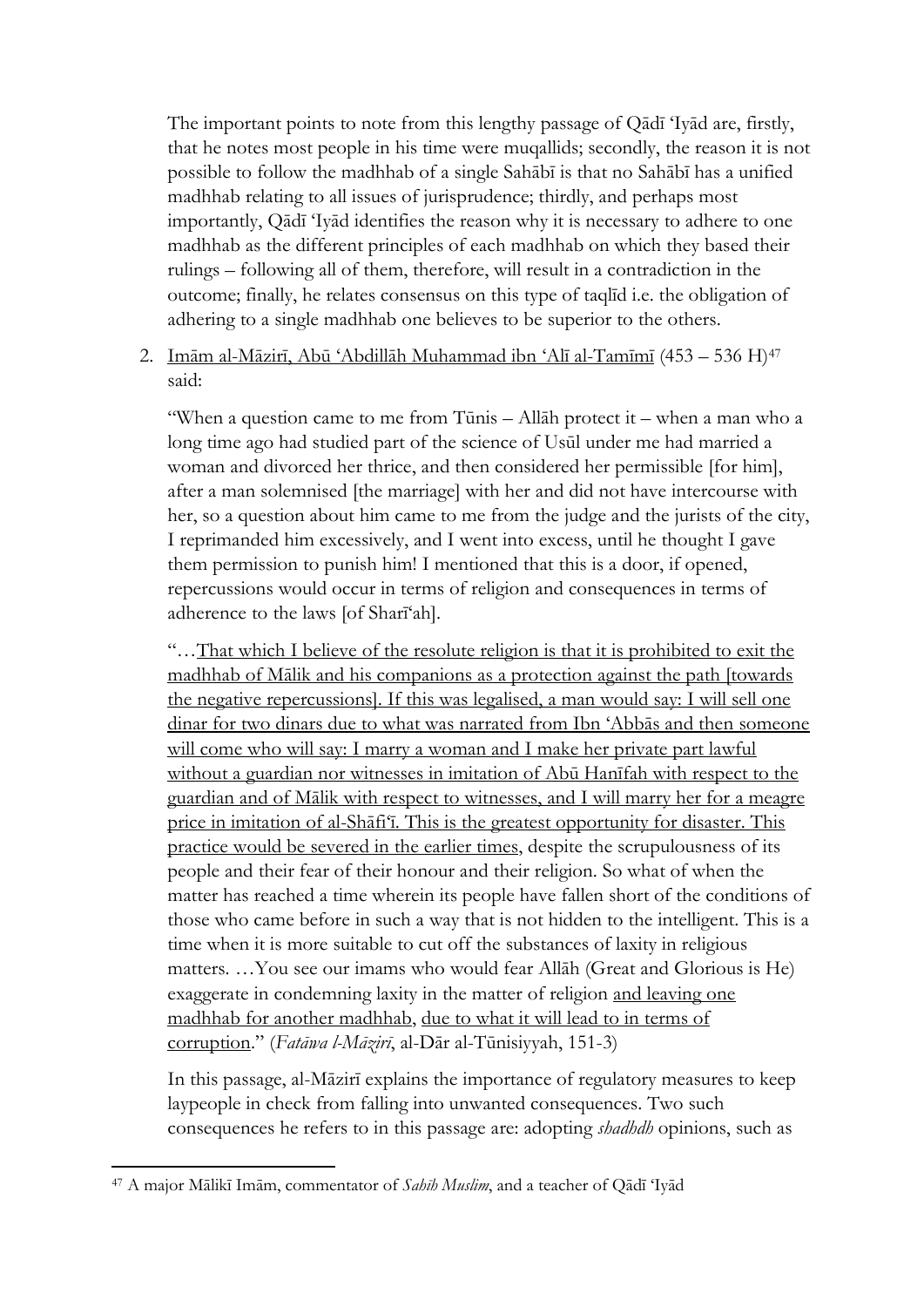The important points to note from this lengthy passage of Qādī 'Iyād are, firstly, that he notes most people in his time were muqallids; secondly, the reason it is not possible to follow the madhhab of a single Sahābī is that no Sahābī has a unified madhhab relating to all issues of jurisprudence; thirdly, and perhaps most importantly, Qādī 'Iyād identifies the reason why it is necessary to adhere to one madhhab as the different principles of each madhhab on which they based their rulings – following all of them, therefore, will result in a contradiction in the outcome; finally, he relates consensus on this type of taqlīd i.e. the obligation of adhering to a single madhhab one believes to be superior to the others.

2. Imām al-Māzirī, Abū 'Abdillāh Muhammad ibn 'Alī al-Tamīmī (453 – 536 H)<sup>47</sup> said:

"When a question came to me from Tūnis – Allāh protect it – when a man who a long time ago had studied part of the science of Usūl under me had married a woman and divorced her thrice, and then considered her permissible [for him], after a man solemnised [the marriage] with her and did not have intercourse with her, so a question about him came to me from the judge and the jurists of the city, I reprimanded him excessively, and I went into excess, until he thought I gave them permission to punish him! I mentioned that this is a door, if opened, repercussions would occur in terms of religion and consequences in terms of adherence to the laws [of Sharī'ah].

"…That which I believe of the resolute religion is that it is prohibited to exit the madhhab of Mālik and his companions as a protection against the path [towards the negative repercussions]. If this was legalised, a man would say: I will sell one dinar for two dinars due to what was narrated from Ibn 'Abbās and then someone will come who will say: I marry a woman and I make her private part lawful without a guardian nor witnesses in imitation of Abū Hanīfah with respect to the guardian and of Mālik with respect to witnesses, and I will marry her for a meagre price in imitation of al-Shāfi'ī. This is the greatest opportunity for disaster. This practice would be severed in the earlier times, despite the scrupulousness of its people and their fear of their honour and their religion. So what of when the matter has reached a time wherein its people have fallen short of the conditions of those who came before in such a way that is not hidden to the intelligent. This is a time when it is more suitable to cut off the substances of laxity in religious matters. …You see our imams who would fear Allāh (Great and Glorious is He) exaggerate in condemning laxity in the matter of religion and leaving one madhhab for another madhhab, due to what it will lead to in terms of corruption." (*Fatāwa l-Māzirī*, al-Dār al-Tūnisiyyah, 151-3)

In this passage, al-Māzirī explains the importance of regulatory measures to keep laypeople in check from falling into unwanted consequences. Two such consequences he refers to in this passage are: adopting *shadhdh* opinions, such as

<sup>47</sup> A major Mālikī Imām, commentator of *Sahīh Muslim*, and a teacher of Qādī 'Iyād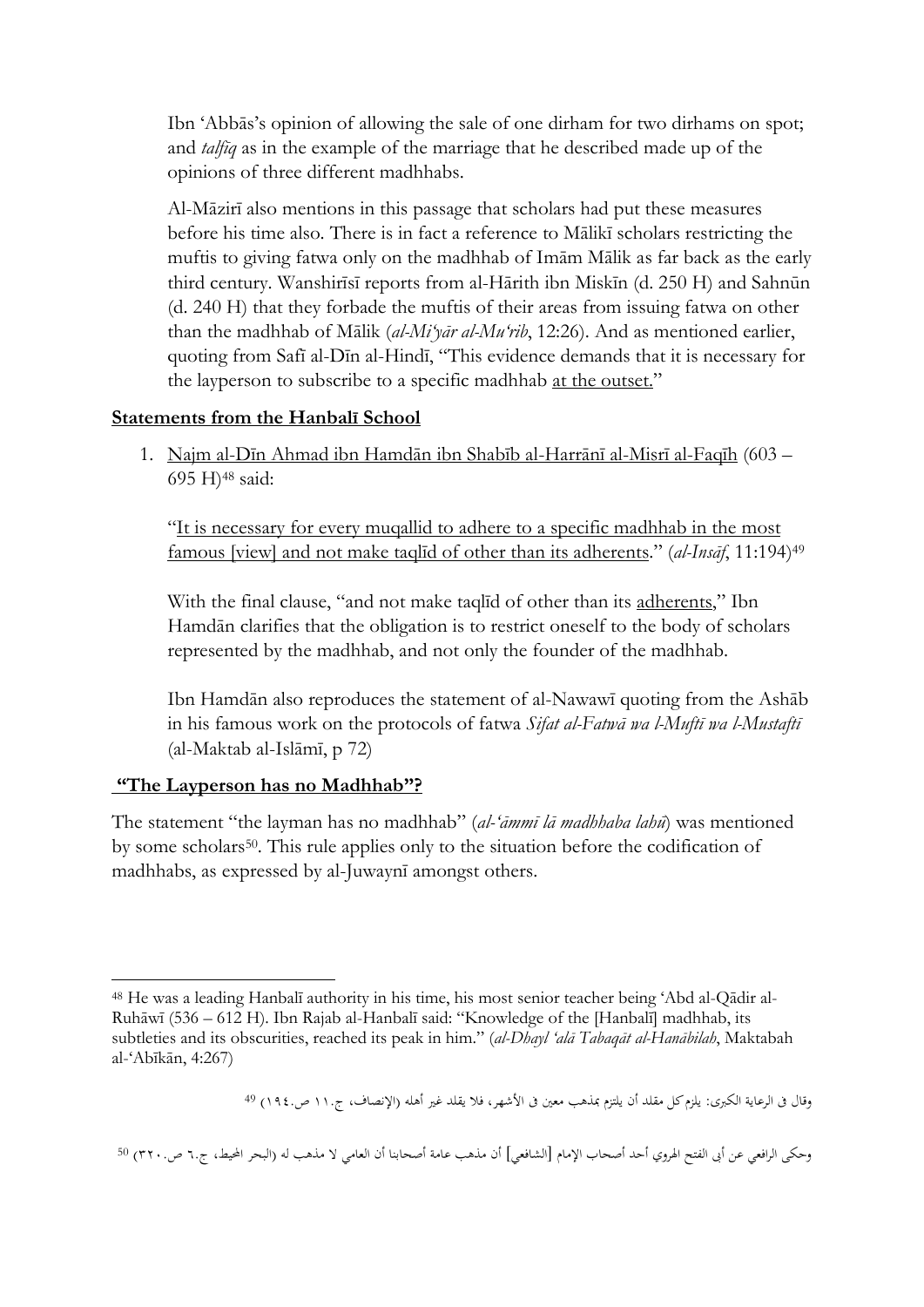Ibn 'Abbās's opinion of allowing the sale of one dirham for two dirhams on spot; and *talfīq* as in the example of the marriage that he described made up of the opinions of three different madhhabs.

Al-Māzirī also mentions in this passage that scholars had put these measures before his time also. There is in fact a reference to Mālikī scholars restricting the muftis to giving fatwa only on the madhhab of Imām Mālik as far back as the early third century. Wanshirīsī reports from al-Hārith ibn Miskīn (d. 250 H) and Sahnūn (d. 240 H) that they forbade the muftis of their areas from issuing fatwa on other than the madhhab of Mālik (*al-Mi'yār al-Mu'rib*, 12:26). And as mentioned earlier, quoting from Safī al-Dīn al-Hindī, "This evidence demands that it is necessary for the layperson to subscribe to a specific madhhab at the outset."

#### **Statements from the Hanbalī School**

1. Najm al-Dīn Ahmad ibn Hamdān ibn Shabīb al-Harrānī al-Misrī al-Faqīh (603 – 695 H)<sup>48</sup> said:

"It is necessary for every muqallid to adhere to a specific madhhab in the most famous [view] and not make taqlīd of other than its adherents." (*al-Insāf*, 11:194) 49

With the final clause, "and not make taqlīd of other than its adherents," Ibn Hamdān clarifies that the obligation is to restrict oneself to the body of scholars represented by the madhhab, and not only the founder of the madhhab.

Ibn Hamdān also reproduces the statement of al-Nawawī quoting from the Ashāb in his famous work on the protocols of fatwa *Sifat al-Fatwā wa l-Muftī wa l-Mustaftī* (al-Maktab al-Islāmī, p 72)

# **"The Layperson has no Madhhab"?**

The statement "the layman has no madhhab" (*al-'āmmī lā madhhaba lahū*) was mentioned by some scholars<sup>50</sup>. This rule applies only to the situation before the codification of madhhabs, as expressed by al-Juwaynī amongst others.

<sup>1</sup> <sup>48</sup> He was a leading Hanbalī authority in his time, his most senior teacher being 'Abd al-Qādir al-Ruhāwī (536 – 612 H). Ibn Rajab al-Hanbalī said: "Knowledge of the [Hanbalī] madhhab, its subtleties and its obscurities, reached its peak in him." (*al-Dhayl 'alā Tabaqāt al-Hanābilah*, Maktabah al-'Abīkān, 4:267)

وقال في الرعاية الكبرى: يلزم كل مقلد أن يلتزم بمذهب معين في الأشهر، فلا يقلد غير أهله (الإنصاف، ج١١. ص١٩٤.) <sup>49</sup>

وحكى الرافعي عن أبي الفتح الهروي أحد أصحاب الإمام [الشافعي] أن مذهب عامة أصحابنا أن العامي لا مذهب له (البحر المحيط، ج٦٠ ص٢٢٠٠) <sup>50</sup>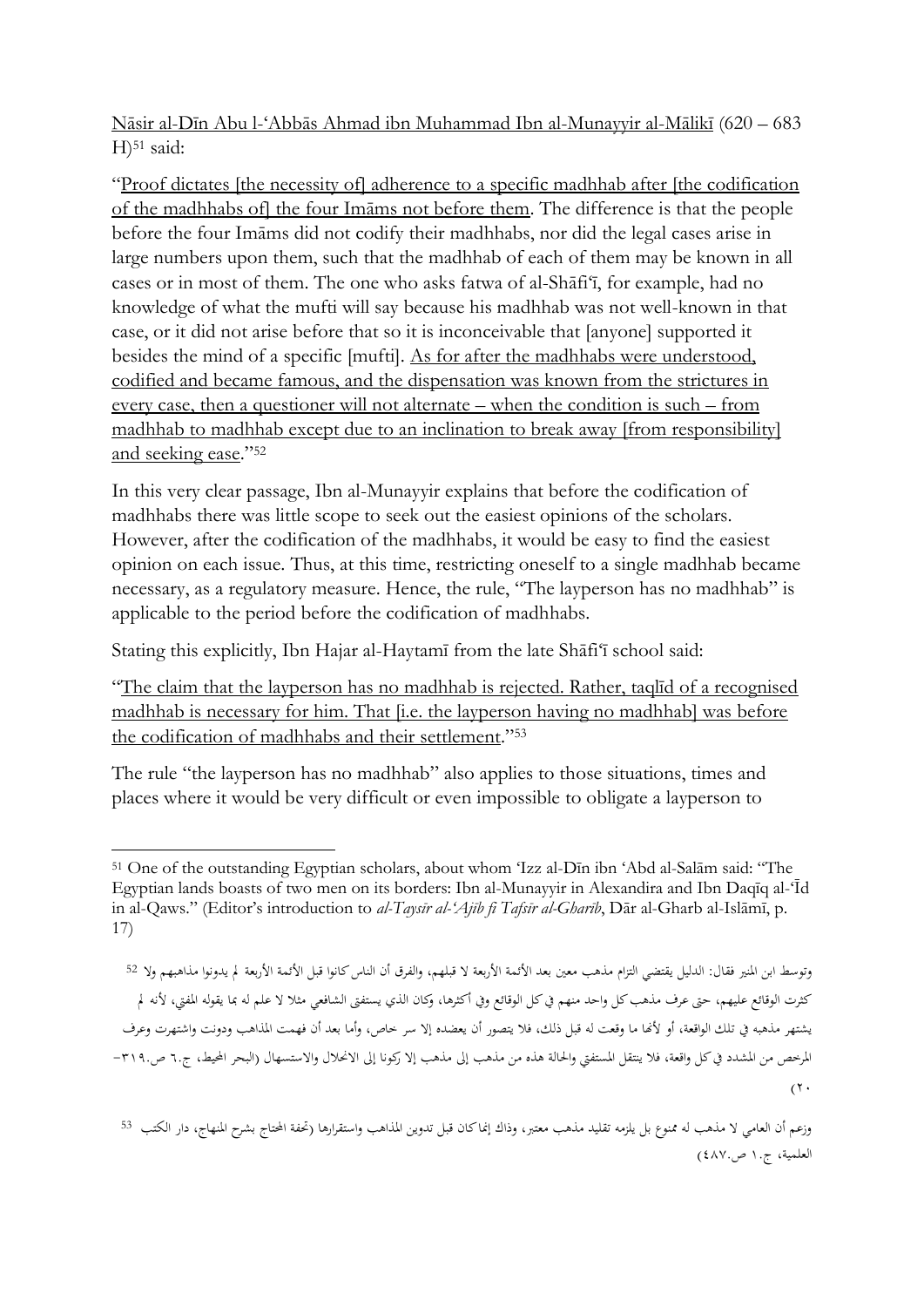Nāsir al-Dīn Abu l-'Abbās Ahmad ibn Muhammad Ibn al-Munayyir al-Mālikī (620 – 683  $H$ <sup>51</sup> said:

"Proof dictates [the necessity of] adherence to a specific madhhab after [the codification of the madhhabs of] the four Imāms not before them. The difference is that the people before the four Imāms did not codify their madhhabs, nor did the legal cases arise in large numbers upon them, such that the madhhab of each of them may be known in all cases or in most of them. The one who asks fatwa of al-Shāfi'ī, for example, had no knowledge of what the mufti will say because his madhhab was not well-known in that case, or it did not arise before that so it is inconceivable that [anyone] supported it besides the mind of a specific [mufti]. As for after the madhhabs were understood, codified and became famous, and the dispensation was known from the strictures in every case, then a questioner will not alternate – when the condition is such – from madhhab to madhhab except due to an inclination to break away [from responsibility] and seeking ease."<sup>52</sup>

In this very clear passage, Ibn al-Munayyir explains that before the codification of madhhabs there was little scope to seek out the easiest opinions of the scholars. However, after the codification of the madhhabs, it would be easy to find the easiest opinion on each issue. Thus, at this time, restricting oneself to a single madhhab became necessary, as a regulatory measure. Hence, the rule, "The layperson has no madhhab" is applicable to the period before the codification of madhhabs.

Stating this explicitly, Ibn Hajar al-Haytamī from the late Shāfi'ī school said:

"The claim that the layperson has no madhhab is rejected. Rather, taqlīd of a recognised madhhab is necessary for him. That [i.e. the layperson having no madhhab] was before the codification of madhhabs and their settlement."<sup>53</sup>

The rule "the layperson has no madhhab" also applies to those situations, times and places where it would be very difficult or even impossible to obligate a layperson to

 $\overline{\phantom{a}}$ <sup>51</sup> One of the outstanding Egyptian scholars, about whom 'Izz al-Dīn ibn 'Abd al-Salām said: "The Egyptian lands boasts of two men on its borders: Ibn al-Munayyir in Alexandira and Ibn Daqīq al-'Īd in al-Qaws." (Editor's introduction to *al-Taysīr al-'Ajīb fi Tafsīr al-Gharīb*, Dār al-Gharb al-Islāmī, p. 17)

وتوسط ابن المنير فقال: الدليل يقتضي التزام مذهب معين بعد الأئمة الأربعة لا قبلهم، والفرق أن الناس كانوا قبل الأئمة الأربعة لم يدونوا مذاهبهم ولا 52 كثرت الوقائع عليهم، حتى عرف مذهب كل واحد منهم في كل الوقائع وفي أكثرها، وكان الذي يستفتى الشافعي مثلا لا علم له بما يقوله المفتي، لأنه لم يشتهر مذهبه يف تلك الواقعة، أو ألهنا ما وقعت له قبل ذلك، فال يتصور أن يعضده إال سر خاص، وأما بعد أن فهمت املذاهب ودونت واشتهرت وعرف المرخص من المشدد في كل واقعة، فلا ينتقل المستفتى والحالة هذه من مذهب إلى مذهب إلا ركونا إلى الانحلال والاستسهال (البحر المحيط، ج.٦ ص.٢١٩- $(7 \cdot$ 

وزعم أن العامي لا مذهب له ممنوع بل يلزمه تقليد مذهب معتبر، وذاك إنماكان قبل تدوين المذاهب واستقرارها (تحفة المحتاج بشرح المنهاج، دار الكتب <sup>53</sup> العلمية، ج.١ ص٤٨٧.)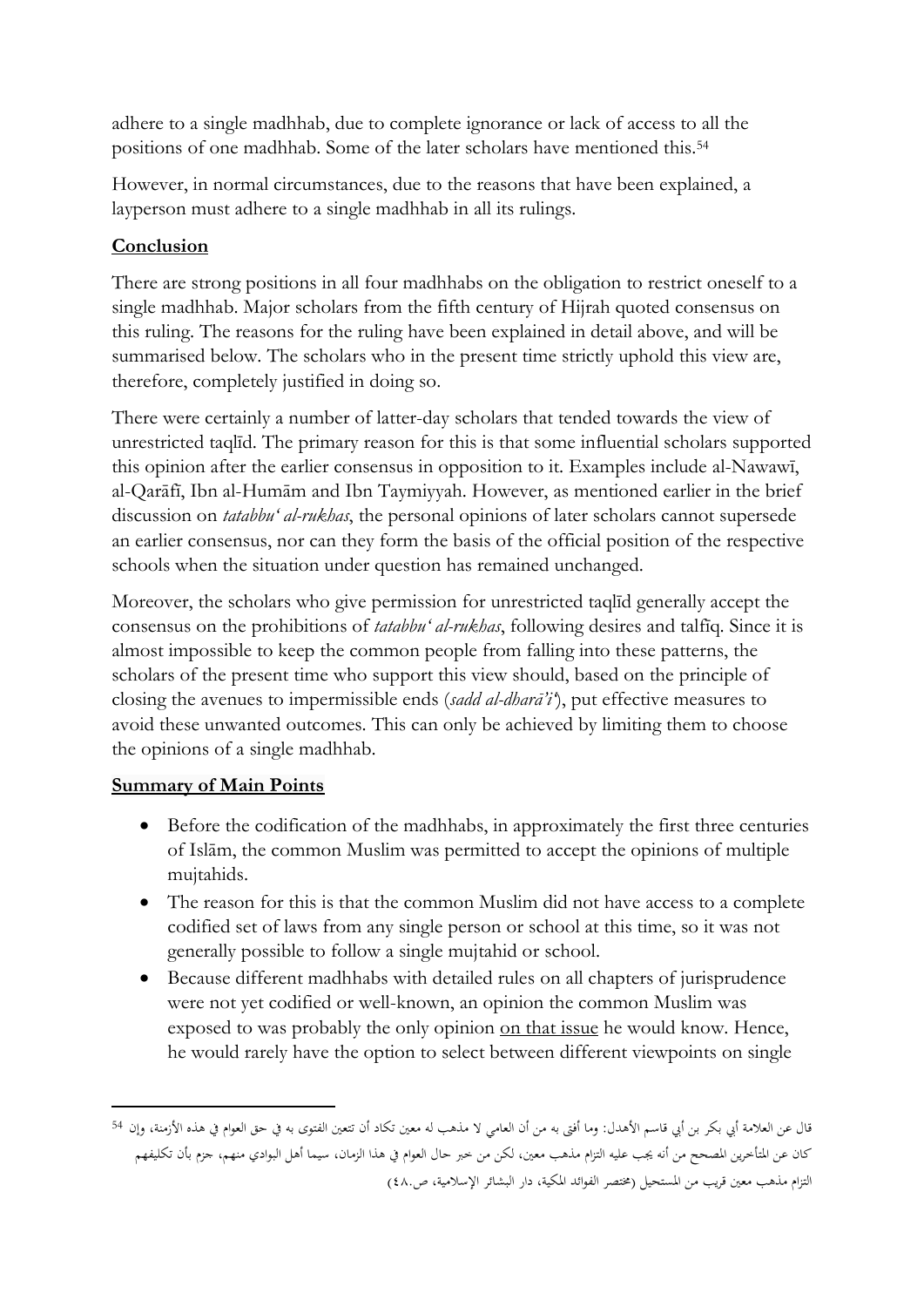adhere to a single madhhab, due to complete ignorance or lack of access to all the positions of one madhhab. Some of the later scholars have mentioned this.<sup>54</sup>

However, in normal circumstances, due to the reasons that have been explained, a layperson must adhere to a single madhhab in all its rulings.

# **Conclusion**

There are strong positions in all four madhhabs on the obligation to restrict oneself to a single madhhab. Major scholars from the fifth century of Hijrah quoted consensus on this ruling. The reasons for the ruling have been explained in detail above, and will be summarised below. The scholars who in the present time strictly uphold this view are, therefore, completely justified in doing so.

There were certainly a number of latter-day scholars that tended towards the view of unrestricted taqlīd. The primary reason for this is that some influential scholars supported this opinion after the earlier consensus in opposition to it. Examples include al-Nawawī, al-Qarāfī, Ibn al-Humām and Ibn Taymiyyah. However, as mentioned earlier in the brief discussion on *tatabbu' al-rukhas*, the personal opinions of later scholars cannot supersede an earlier consensus, nor can they form the basis of the official position of the respective schools when the situation under question has remained unchanged.

Moreover, the scholars who give permission for unrestricted taqlīd generally accept the consensus on the prohibitions of *tatabbu' al-rukhas*, following desires and talfīq. Since it is almost impossible to keep the common people from falling into these patterns, the scholars of the present time who support this view should, based on the principle of closing the avenues to impermissible ends (*sadd al-dharā'i'*), put effective measures to avoid these unwanted outcomes. This can only be achieved by limiting them to choose the opinions of a single madhhab.

# **Summary of Main Points**

- Before the codification of the madhhabs, in approximately the first three centuries of Islām, the common Muslim was permitted to accept the opinions of multiple mujtahids.
- The reason for this is that the common Muslim did not have access to a complete codified set of laws from any single person or school at this time, so it was not generally possible to follow a single mujtahid or school.
- Because different madhhabs with detailed rules on all chapters of jurisprudence were not yet codified or well-known, an opinion the common Muslim was exposed to was probably the only opinion on that issue he would know. Hence, he would rarely have the option to select between different viewpoints on single

قال عن العلامة أبي بكر بن أبي قاسم الأهدل: وما أفتى به من أن العامي لا مذهب له معين تكاد أن تتعين الفتوى به في حق العوام في هذه الأزمنة، وإن 54 كان عن املتأخرين املصحح من أنه جيب عليه التزام مذهب معني، لكن من خرب حال العوام يف هذا الزمان، سيما أهل البوادي منهم، جزم بأن تكليفهم التزام مذهب معين قريب من المستحيل (مختصر الفوائد المكية، دار البشائر الإسلامية، ص٨٠)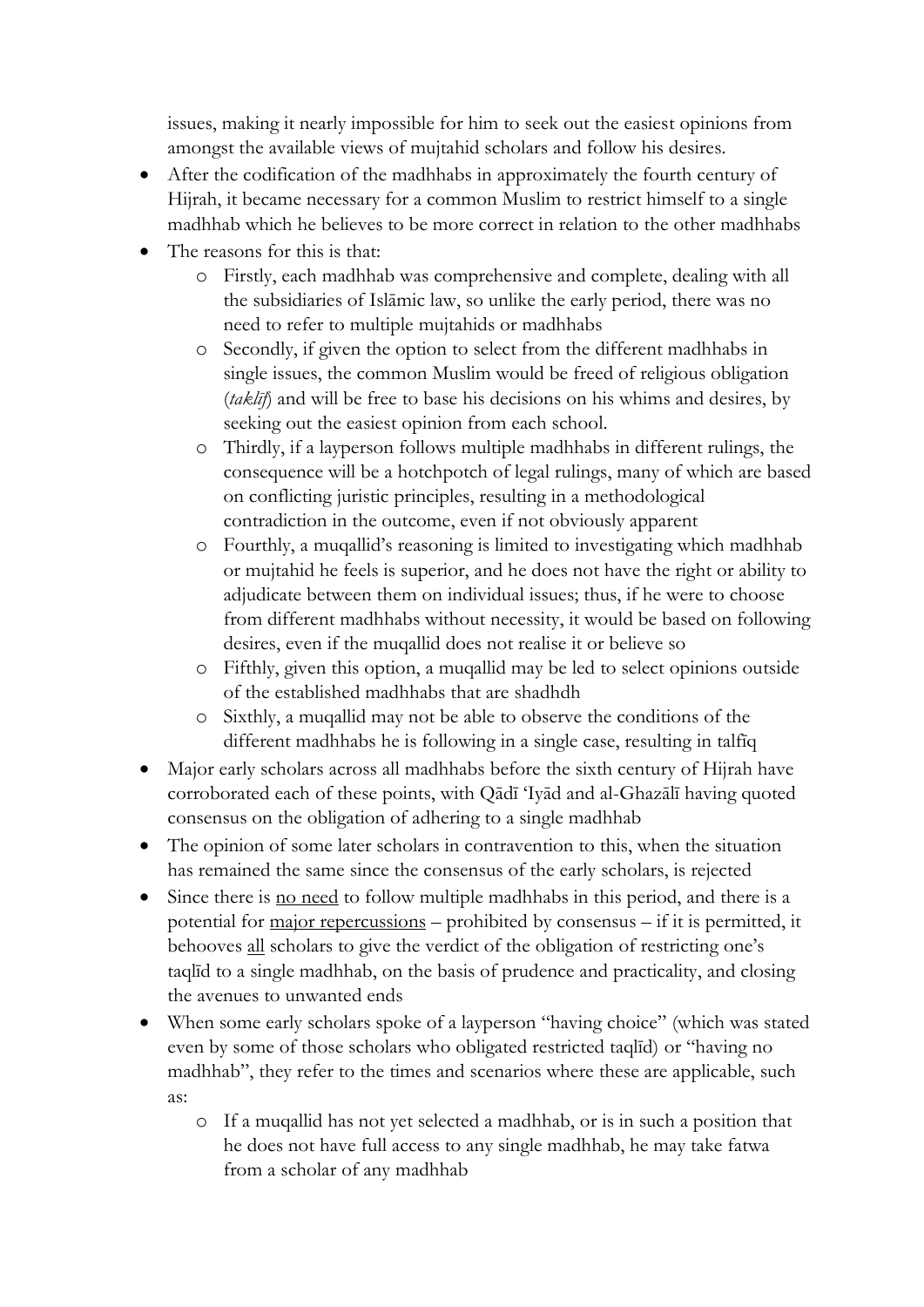issues, making it nearly impossible for him to seek out the easiest opinions from amongst the available views of mujtahid scholars and follow his desires.

- After the codification of the madhhabs in approximately the fourth century of Hijrah, it became necessary for a common Muslim to restrict himself to a single madhhab which he believes to be more correct in relation to the other madhhabs
- The reasons for this is that:
	- o Firstly, each madhhab was comprehensive and complete, dealing with all the subsidiaries of Islāmic law, so unlike the early period, there was no need to refer to multiple mujtahids or madhhabs
	- o Secondly, if given the option to select from the different madhhabs in single issues, the common Muslim would be freed of religious obligation (*taklīf*) and will be free to base his decisions on his whims and desires, by seeking out the easiest opinion from each school.
	- o Thirdly, if a layperson follows multiple madhhabs in different rulings, the consequence will be a hotchpotch of legal rulings, many of which are based on conflicting juristic principles, resulting in a methodological contradiction in the outcome, even if not obviously apparent
	- o Fourthly, a muqallid's reasoning is limited to investigating which madhhab or mujtahid he feels is superior, and he does not have the right or ability to adjudicate between them on individual issues; thus, if he were to choose from different madhhabs without necessity, it would be based on following desires, even if the muqallid does not realise it or believe so
	- o Fifthly, given this option, a muqallid may be led to select opinions outside of the established madhhabs that are shadhdh
	- o Sixthly, a muqallid may not be able to observe the conditions of the different madhhabs he is following in a single case, resulting in talfīq
- Major early scholars across all madhhabs before the sixth century of Hijrah have corroborated each of these points, with Qādī 'Iyād and al-Ghazālī having quoted consensus on the obligation of adhering to a single madhhab
- The opinion of some later scholars in contravention to this, when the situation has remained the same since the consensus of the early scholars, is rejected
- Since there is no need to follow multiple madhhabs in this period, and there is a potential for major repercussions – prohibited by consensus – if it is permitted, it behooves all scholars to give the verdict of the obligation of restricting one's taqlīd to a single madhhab, on the basis of prudence and practicality, and closing the avenues to unwanted ends
- When some early scholars spoke of a layperson "having choice" (which was stated even by some of those scholars who obligated restricted taqlīd) or "having no madhhab", they refer to the times and scenarios where these are applicable, such as:
	- o If a muqallid has not yet selected a madhhab, or is in such a position that he does not have full access to any single madhhab, he may take fatwa from a scholar of any madhhab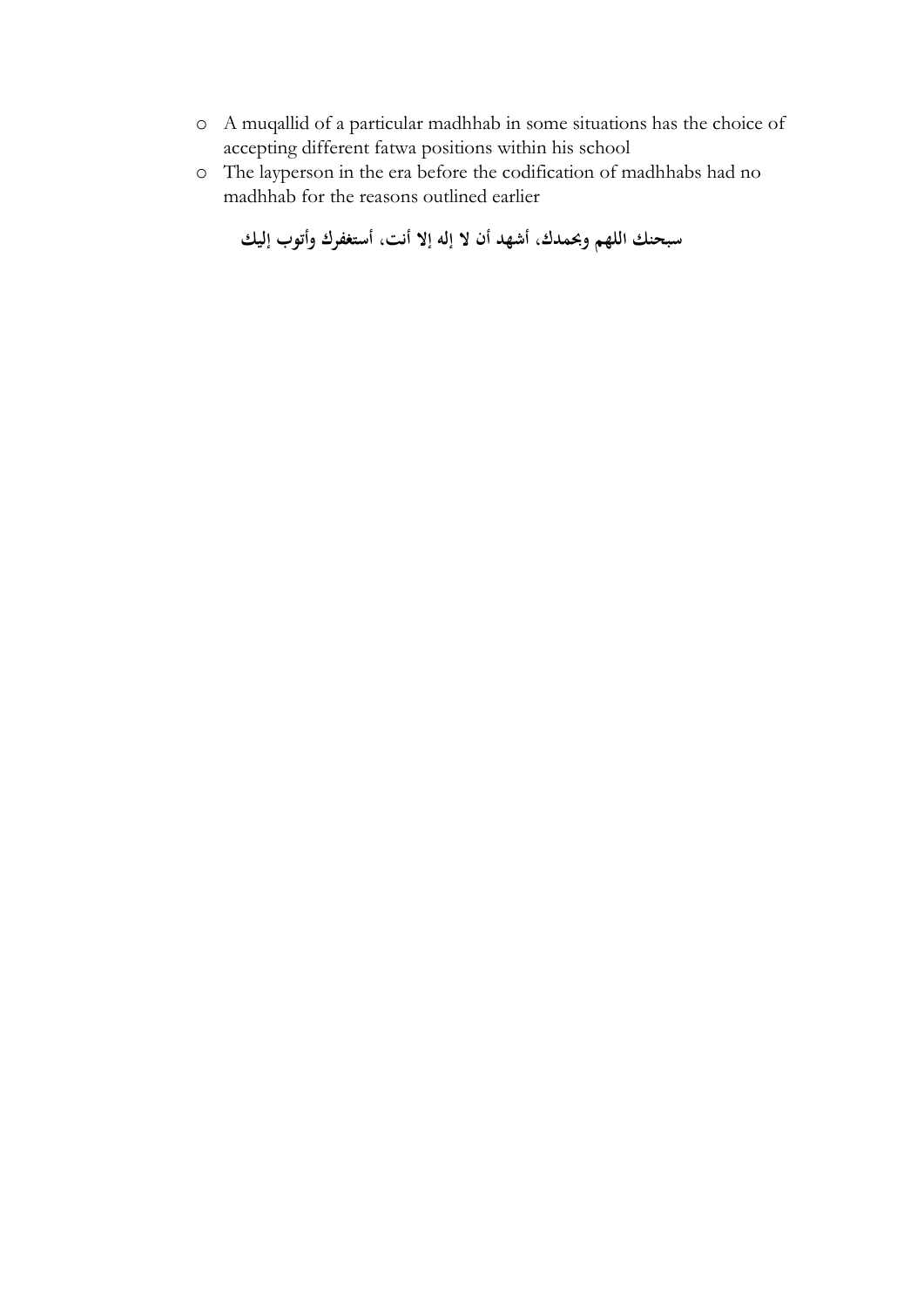- o A muqallid of a particular madhhab in some situations has the choice of accepting different fatwa positions within his school
- o The layperson in the era before the codification of madhhabs had no madhhab for the reasons outlined earlier

```
سبحنك اللهم وحبمدك، أشهد أن ال إله إال أنت، أستغفرك وأتوب إليك
```